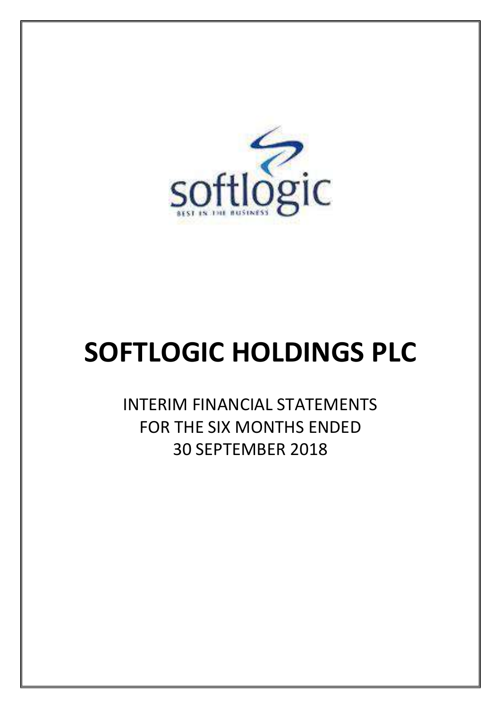

# **SOFTLOGIC HOLDINGS PLC**

INTERIM FINANCIAL STATEMENTS FOR THE SIX MONTHS ENDED 30 SEPTEMBER 2018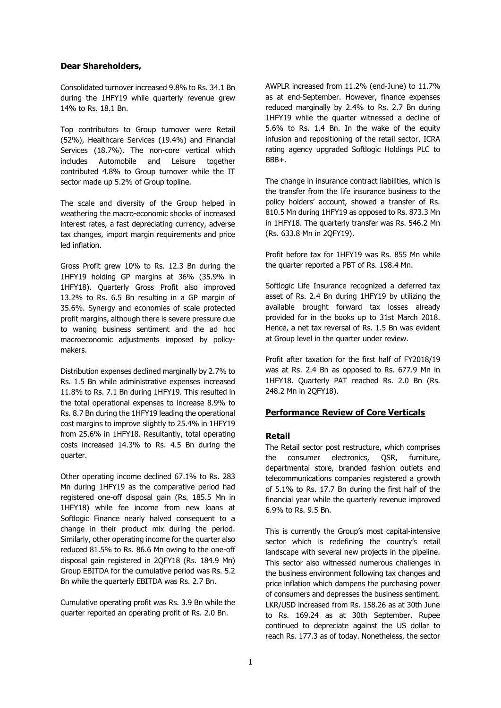#### **Dear Shareholders,**

Consolidated turnover increased 9.8% to Rs. 34.1 Bn during the 1HFY19 while quarterly revenue grew 14% to Rs. 18.1 Bn.

Top contributors to Group turnover were Retail (52%), Healthcare Services (19.4%) and Financial Services (18.7%). The non-core vertical which includes Automobile and Leisure together contributed 4.8% to Group turnover while the IT sector made up 5.2% of Group topline.

The scale and diversity of the Group helped in weathering the macro-economic shocks of increased interest rates, a fast depreciating currency, adverse tax changes, import margin requirements and price led inflation.

Gross Profit grew 10% to Rs. 12.3 Bn during the 1HFY19 holding GP margins at 36% (35.9% in 1HFY18). Quarterly Gross Profit also improved 13.2% to Rs. 6.5 Bn resulting in a GP margin of 35.6%. Synergy and economies of scale protected profit margins, although there is severe pressure due to waning business sentiment and the ad hoc macroeconomic adjustments imposed by policymakers.

Distribution expenses declined marginally by 2.7% to Rs. 1.5 Bn while administrative expenses increased 11.8% to Rs. 7.1 Bn during 1HFY19. This resulted in the total operational expenses to increase 8.9% to Rs. 8.7 Bn during the 1HFY19 leading the operational cost margins to improve slightly to 25.4% in 1HFY19 from 25.6% in 1HFY18. Resultantly, total operating costs increased 14.3% to Rs. 4.5 Bn during the quarter.

Other operating income declined 67.1% to Rs. 283 Mn during 1HFY19 as the comparative period had registered one-off disposal gain (Rs. 185.5 Mn in 1HFY18) while fee income from new loans at Softlogic Finance nearly halved consequent to a change in their product mix during the period. Similarly, other operating income for the quarter also reduced 81.5% to Rs. 86.6 Mn owing to the one-off disposal gain registered in 2QFY18 (Rs. 184.9 Mn) Group EBITDA for the cumulative period was Rs. 5.2 Bn while the quarterly EBITDA was Rs. 2.7 Bn.

Cumulative operating profit was Rs. 3.9 Bn while the quarter reported an operating profit of Rs. 2.0 Bn.

AWPLR increased from 11.2% (end-June) to 11.7% as at end-September. However, finance expenses reduced marginally by 2.4% to Rs. 2.7 Bn during 1HFY19 while the quarter witnessed a decline of 5.6% to Rs. 1.4 Bn. In the wake of the equity infusion and repositioning of the retail sector, ICRA rating agency upgraded Softlogic Holdings PLC to BBB+.

The change in insurance contract liabilities, which is the transfer from the life insurance business to the policy holders' account, showed a transfer of Rs. 810.5 Mn during 1HFY19 as opposed to Rs. 873.3 Mn in 1HFY18. The quarterly transfer was Rs. 546.2 Mn (Rs. 633.8 Mn in 2QFY19).

Profit before tax for 1HFY19 was Rs. 855 Mn while the quarter reported a PBT of Rs. 198.4 Mn.

Softlogic Life Insurance recognized a deferred tax asset of Rs. 2.4 Bn during 1HFY19 by utilizing the available brought forward tax losses already provided for in the books up to 31st March 2018. Hence, a net tax reversal of Rs. 1.5 Bn was evident at Group level in the quarter under review.

Profit after taxation for the first half of FY2018/19 was at Rs. 2.4 Bn as opposed to Rs. 677.9 Mn in 1HFY18. Quarterly PAT reached Rs. 2.0 Bn (Rs. 248.2 Mn in 2QFY18).

#### **Performance Review of Core Verticals**

#### **Retail**

The Retail sector post restructure, which comprises the consumer electronics, QSR, furniture, departmental store, branded fashion outlets and telecommunications companies registered a growth of 5.1% to Rs. 17.7 Bn during the first half of the financial year while the quarterly revenue improved 6.9% to Rs. 9.5 Bn.

This is currently the Group's most capital-intensive sector which is redefining the country's retail landscape with several new projects in the pipeline. This sector also witnessed numerous challenges in the business environment following tax changes and price inflation which dampens the purchasing power of consumers and depresses the business sentiment. LKR/USD increased from Rs. 158.26 as at 30th June to Rs. 169.24 as at 30th September. Rupee continued to depreciate against the US dollar to reach Rs. 177.3 as of today. Nonetheless, the sector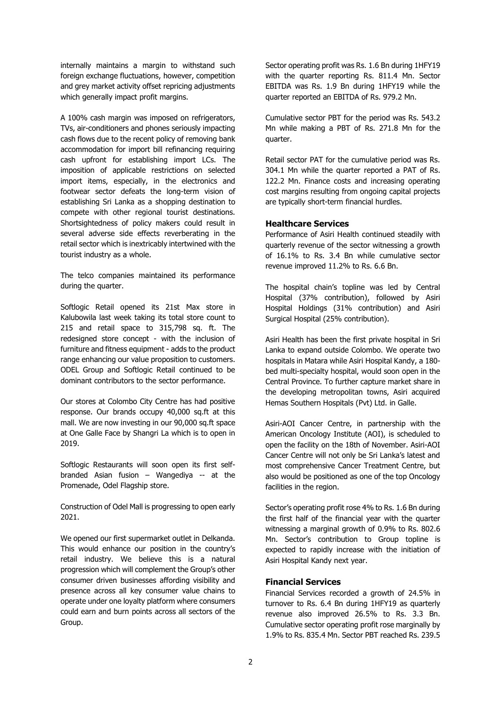internally maintains a margin to withstand such foreign exchange fluctuations, however, competition and grey market activity offset repricing adjustments which generally impact profit margins.

A 100% cash margin was imposed on refrigerators, TVs, air-conditioners and phones seriously impacting cash flows due to the recent policy of removing bank accommodation for import bill refinancing requiring cash upfront for establishing import LCs. The imposition of applicable restrictions on selected import items, especially, in the electronics and footwear sector defeats the long-term vision of establishing Sri Lanka as a shopping destination to compete with other regional tourist destinations. Shortsightedness of policy makers could result in several adverse side effects reverberating in the retail sector which is inextricably intertwined with the tourist industry as a whole.

The telco companies maintained its performance during the quarter.

Softlogic Retail opened its 21st Max store in Kalubowila last week taking its total store count to 215 and retail space to 315,798 sq. ft. The redesigned store concept - with the inclusion of furniture and fitness equipment - adds to the product range enhancing our value proposition to customers. ODEL Group and Softlogic Retail continued to be dominant contributors to the sector performance.

Our stores at Colombo City Centre has had positive response. Our brands occupy 40,000 sq.ft at this mall. We are now investing in our 90,000 sq.ft space at One Galle Face by Shangri La which is to open in 2019.

Softlogic Restaurants will soon open its first selfbranded Asian fusion – Wangediya -- at the Promenade, Odel Flagship store.

Construction of Odel Mall is progressing to open early 2021.

We opened our first supermarket outlet in Delkanda. This would enhance our position in the country's retail industry. We believe this is a natural progression which will complement the Group's other consumer driven businesses affording visibility and presence across all key consumer value chains to operate under one loyalty platform where consumers could earn and burn points across all sectors of the Group.

Sector operating profit was Rs. 1.6 Bn during 1HFY19 with the quarter reporting Rs. 811.4 Mn. Sector EBITDA was Rs. 1.9 Bn during 1HFY19 while the quarter reported an EBITDA of Rs. 979.2 Mn.

Cumulative sector PBT for the period was Rs. 543.2 Mn while making a PBT of Rs. 271.8 Mn for the quarter.

Retail sector PAT for the cumulative period was Rs. 304.1 Mn while the quarter reported a PAT of Rs. 122.2 Mn. Finance costs and increasing operating cost margins resulting from ongoing capital projects are typically short-term financial hurdles.

#### **Healthcare Services**

Performance of Asiri Health continued steadily with quarterly revenue of the sector witnessing a growth of 16.1% to Rs. 3.4 Bn while cumulative sector revenue improved 11.2% to Rs. 6.6 Bn.

The hospital chain's topline was led by Central Hospital (37% contribution), followed by Asiri Hospital Holdings (31% contribution) and Asiri Surgical Hospital (25% contribution).

Asiri Health has been the first private hospital in Sri Lanka to expand outside Colombo. We operate two hospitals in Matara while Asiri Hospital Kandy, a 180 bed multi-specialty hospital, would soon open in the Central Province. To further capture market share in the developing metropolitan towns, Asiri acquired Hemas Southern Hospitals (Pvt) Ltd. in Galle.

Asiri-AOI Cancer Centre, in partnership with the American Oncology Institute (AOI), is scheduled to open the facility on the 18th of November. Asiri-AOI Cancer Centre will not only be Sri Lanka's latest and most comprehensive Cancer Treatment Centre, but also would be positioned as one of the top Oncology facilities in the region.

Sector's operating profit rose 4% to Rs. 1.6 Bn during the first half of the financial year with the quarter witnessing a marginal growth of 0.9% to Rs. 802.6 Mn. Sector's contribution to Group topline is expected to rapidly increase with the initiation of Asiri Hospital Kandy next year.

#### **Financial Services**

Financial Services recorded a growth of 24.5% in turnover to Rs. 6.4 Bn during 1HFY19 as quarterly revenue also improved 26.5% to Rs. 3.3 Bn. Cumulative sector operating profit rose marginally by 1.9% to Rs. 835.4 Mn. Sector PBT reached Rs. 239.5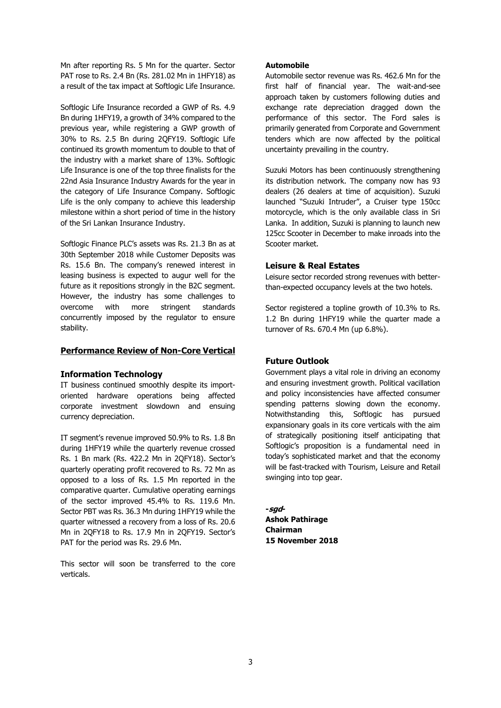Mn after reporting Rs. 5 Mn for the quarter. Sector PAT rose to Rs. 2.4 Bn (Rs. 281.02 Mn in 1HFY18) as a result of the tax impact at Softlogic Life Insurance.

Softlogic Life Insurance recorded a GWP of Rs. 4.9 Bn during 1HFY19, a growth of 34% compared to the previous year, while registering a GWP growth of 30% to Rs. 2.5 Bn during 2QFY19. Softlogic Life continued its growth momentum to double to that of the industry with a market share of 13%. Softlogic Life Insurance is one of the top three finalists for the 22nd Asia Insurance Industry Awards for the year in the category of Life Insurance Company. Softlogic Life is the only company to achieve this leadership milestone within a short period of time in the history of the Sri Lankan Insurance Industry.

Softlogic Finance PLC's assets was Rs. 21.3 Bn as at 30th September 2018 while Customer Deposits was Rs. 15.6 Bn. The company's renewed interest in leasing business is expected to augur well for the future as it repositions strongly in the B2C segment. However, the industry has some challenges to overcome with more stringent standards concurrently imposed by the regulator to ensure stability.

#### **Performance Review of Non-Core Vertical**

#### **Information Technology**

IT business continued smoothly despite its importoriented hardware operations being affected corporate investment slowdown and ensuing currency depreciation.

IT segment's revenue improved 50.9% to Rs. 1.8 Bn during 1HFY19 while the quarterly revenue crossed Rs. 1 Bn mark (Rs. 422.2 Mn in 2QFY18). Sector's quarterly operating profit recovered to Rs. 72 Mn as opposed to a loss of Rs. 1.5 Mn reported in the comparative quarter. Cumulative operating earnings of the sector improved 45.4% to Rs. 119.6 Mn. Sector PBT was Rs. 36.3 Mn during 1HFY19 while the quarter witnessed a recovery from a loss of Rs. 20.6 Mn in 2QFY18 to Rs. 17.9 Mn in 2QFY19. Sector's PAT for the period was Rs. 29.6 Mn.

This sector will soon be transferred to the core verticals.

#### **Automobile**

Automobile sector revenue was Rs. 462.6 Mn for the first half of financial year. The wait-and-see approach taken by customers following duties and exchange rate depreciation dragged down the performance of this sector. The Ford sales is primarily generated from Corporate and Government tenders which are now affected by the political uncertainty prevailing in the country.

Suzuki Motors has been continuously strengthening its distribution network. The company now has 93 dealers (26 dealers at time of acquisition). Suzuki launched "Suzuki Intruder", a Cruiser type 150cc motorcycle, which is the only available class in Sri Lanka. In addition, Suzuki is planning to launch new 125cc Scooter in December to make inroads into the Scooter market.

#### **Leisure & Real Estates**

Leisure sector recorded strong revenues with betterthan-expected occupancy levels at the two hotels.

Sector registered a topline growth of 10.3% to Rs. 1.2 Bn during 1HFY19 while the quarter made a turnover of Rs. 670.4 Mn (up 6.8%).

#### **Future Outlook**

Government plays a vital role in driving an economy and ensuring investment growth. Political vacillation and policy inconsistencies have affected consumer spending patterns slowing down the economy. Notwithstanding this, Softlogic has pursued expansionary goals in its core verticals with the aim of strategically positioning itself anticipating that Softlogic's proposition is a fundamental need in today's sophisticated market and that the economy will be fast-tracked with Tourism, Leisure and Retail swinging into top gear.

**-sgd-Ashok Pathirage Chairman 15 November 2018**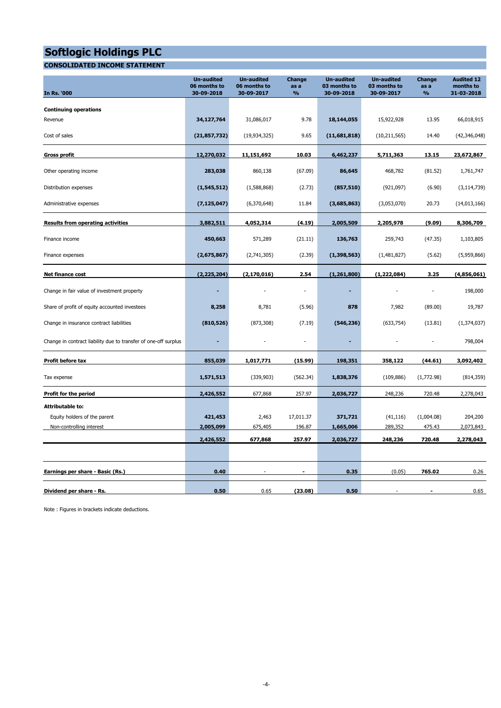#### **CONSOLIDATED INCOME STATEMENT**

| In Rs. '000                                                     | <b>Un-audited</b><br>06 months to<br>30-09-2018 | <b>Un-audited</b><br>06 months to<br>30-09-2017 | Change<br>as a<br>$\%$ | <b>Un-audited</b><br>03 months to<br>30-09-2018 | <b>Un-audited</b><br>03 months to<br>30-09-2017 | Change<br>as a<br>$\frac{9}{6}$ | <b>Audited 12</b><br>months to<br>31-03-2018 |
|-----------------------------------------------------------------|-------------------------------------------------|-------------------------------------------------|------------------------|-------------------------------------------------|-------------------------------------------------|---------------------------------|----------------------------------------------|
| <b>Continuing operations</b>                                    |                                                 |                                                 |                        |                                                 |                                                 |                                 |                                              |
| Revenue                                                         | 34,127,764                                      | 31,086,017                                      | 9.78                   | 18,144,055                                      | 15,922,928                                      | 13.95                           | 66,018,915                                   |
| Cost of sales                                                   | (21, 857, 732)                                  | (19, 934, 325)                                  | 9.65                   | (11,681,818)                                    | (10, 211, 565)                                  | 14.40                           | (42, 346, 048)                               |
| <b>Gross profit</b>                                             | 12,270,032                                      | 11,151,692                                      | 10.03                  | 6,462,237                                       | 5,711,363                                       | 13.15                           | 23,672,867                                   |
| Other operating income                                          | 283,038                                         | 860,138                                         | (67.09)                | 86,645                                          | 468,782                                         | (81.52)                         | 1,761,747                                    |
| Distribution expenses                                           | (1, 545, 512)                                   | (1,588,868)                                     | (2.73)                 | (857, 510)                                      | (921,097)                                       | (6.90)                          | (3, 114, 739)                                |
| Administrative expenses                                         | (7, 125, 047)                                   | (6,370,648)                                     | 11.84                  | (3,685,863)                                     | (3,053,070)                                     | 20.73                           | (14,013,166)                                 |
| <b>Results from operating activities</b>                        | 3,882,511                                       | 4,052,314                                       | (4.19)                 | 2,005,509                                       | 2,205,978                                       | (9.09)                          | 8,306,709                                    |
| Finance income                                                  | 450,663                                         | 571,289                                         | (21.11)                | 136,763                                         | 259,743                                         | (47.35)                         | 1,103,805                                    |
| Finance expenses                                                | (2,675,867)                                     | (2,741,305)                                     | (2.39)                 | (1, 398, 563)                                   | (1,481,827)                                     | (5.62)                          | (5,959,866)                                  |
| Net finance cost                                                | (2, 225, 204)                                   | (2, 170, 016)                                   | 2.54                   | (1,261,800)                                     | (1, 222, 084)                                   | 3.25                            | (4,856,061)                                  |
| Change in fair value of investment property                     | ä,                                              |                                                 | ÷                      |                                                 |                                                 |                                 | 198,000                                      |
| Share of profit of equity accounted investees                   | 8,258                                           | 8,781                                           | (5.96)                 | 878                                             | 7,982                                           | (89.00)                         | 19,787                                       |
| Change in insurance contract liabilities                        | (810, 526)                                      | (873, 308)                                      | (7.19)                 | (546, 236)                                      | (633, 754)                                      | (13.81)                         | (1, 374, 037)                                |
| Change in contract liability due to transfer of one-off surplus | ٠                                               |                                                 | ÷,                     | ٠                                               |                                                 |                                 | 798,004                                      |
| Profit before tax                                               | 855,039                                         | 1,017,771                                       | (15.99)                | 198,351                                         | 358,122                                         | (44.61)                         | 3,092,402                                    |
| Tax expense                                                     | 1,571,513                                       | (339,903)                                       | (562.34)               | 1,838,376                                       | (109, 886)                                      | (1,772.98)                      | (814, 359)                                   |
| Profit for the period                                           | 2,426,552                                       | 677,868                                         | 257.97                 | 2,036,727                                       | 248,236                                         | 720.48                          | 2,278,043                                    |
| <b>Attributable to:</b>                                         |                                                 |                                                 |                        |                                                 |                                                 |                                 |                                              |
| Equity holders of the parent                                    | 421,453                                         | 2,463                                           | 17,011.37              | 371,721                                         | (41, 116)                                       | (1,004.08)                      | 204,200                                      |
| Non-controlling interest                                        | 2,005,099                                       | 675,405                                         | 196.87                 | 1,665,006                                       | 289,352                                         | 475.43                          | 2,073,843                                    |
|                                                                 | 2,426,552                                       | 677,868                                         | 257.97                 | 2,036,727                                       | 248,236                                         | 720.48                          | 2,278,043                                    |
|                                                                 |                                                 |                                                 |                        |                                                 |                                                 |                                 |                                              |
| Earnings per share - Basic (Rs.)                                | 0.40                                            |                                                 | $\blacksquare$         | 0.35                                            | (0.05)                                          | 765.02                          | 0.26                                         |
| Dividend per share - Rs.                                        | 0.50                                            | 0.65                                            | (23.08)                | 0.50                                            |                                                 |                                 | 0.65                                         |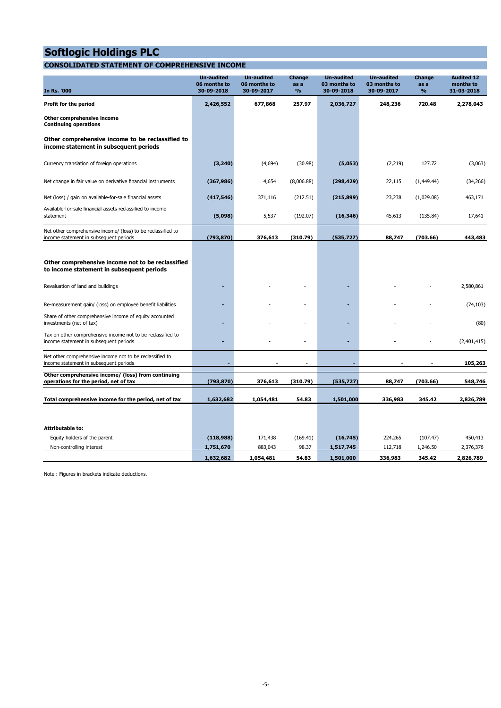#### **CONSOLIDATED STATEMENT OF COMPREHENSIVE INCOME**

| <b>In Rs. '000</b>                                                                                     | <b>Un-audited</b><br>06 months to<br>30-09-2018 | <b>Un-audited</b><br>06 months to<br>30-09-2017 | Change<br>as a<br>$\frac{9}{6}$ | <b>Un-audited</b><br>03 months to<br>30-09-2018 | <b>Un-audited</b><br>03 months to<br>30-09-2017 | Change<br>as a<br>$\frac{9}{6}$ | <b>Audited 12</b><br>months to<br>31-03-2018 |
|--------------------------------------------------------------------------------------------------------|-------------------------------------------------|-------------------------------------------------|---------------------------------|-------------------------------------------------|-------------------------------------------------|---------------------------------|----------------------------------------------|
| Profit for the period                                                                                  | 2,426,552                                       | 677,868                                         | 257.97                          | 2,036,727                                       | 248,236                                         | 720.48                          | 2,278,043                                    |
| Other comprehensive income<br><b>Continuing operations</b>                                             |                                                 |                                                 |                                 |                                                 |                                                 |                                 |                                              |
| Other comprehensive income to be reclassified to<br>income statement in subsequent periods             |                                                 |                                                 |                                 |                                                 |                                                 |                                 |                                              |
| Currency translation of foreign operations                                                             | (3, 240)                                        | (4,694)                                         | (30.98)                         | (5,053)                                         | (2,219)                                         | 127.72                          | (3,063)                                      |
| Net change in fair value on derivative financial instruments                                           | (367, 986)                                      | 4,654                                           | (8,006.88)                      | (298, 429)                                      | 22,115                                          | (1,449.44)                      | (34, 266)                                    |
| Net (loss) / gain on available-for-sale financial assets                                               | (417, 546)                                      | 371,116                                         | (212.51)                        | (215, 899)                                      | 23,238                                          | (1,029.08)                      | 463,171                                      |
| Available-for-sale financial assets reclassified to income<br>statement                                | (5,098)                                         | 5,537                                           | (192.07)                        | (16, 346)                                       | 45,613                                          | (135.84)                        | 17,641                                       |
| Net other comprehensive income/ (loss) to be reclassified to<br>income statement in subsequent periods | (793, 870)                                      | 376,613                                         | (310.79)                        | (535, 727)                                      | 88,747                                          | (703.66)                        | 443,483                                      |
| Other comprehensive income not to be reclassified<br>to income statement in subsequent periods         |                                                 |                                                 |                                 |                                                 |                                                 |                                 |                                              |
| Revaluation of land and buildings                                                                      |                                                 |                                                 |                                 |                                                 |                                                 |                                 | 2,580,861                                    |
| Re-measurement gain/ (loss) on employee benefit liabilities                                            |                                                 |                                                 |                                 |                                                 |                                                 |                                 | (74, 103)                                    |
| Share of other comprehensive income of equity accounted<br>investments (net of tax)                    |                                                 |                                                 |                                 |                                                 |                                                 |                                 | (80)                                         |
| Tax on other comprehensive income not to be reclassified to<br>income statement in subsequent periods  |                                                 |                                                 | ä,                              |                                                 |                                                 |                                 | (2,401,415)                                  |
| Net other comprehensive income not to be reclassified to<br>income statement in subsequent periods     |                                                 |                                                 | $\blacksquare$                  |                                                 |                                                 |                                 | 105,263                                      |
| Other comprehensive income/ (loss) from continuing<br>operations for the period, net of tax            | (793, 870)                                      | 376,613                                         | (310.79)                        | (535, 727)                                      | 88,747                                          | (703.66)                        | 548,746                                      |
| Total comprehensive income for the period, net of tax                                                  | 1,632,682                                       | 1,054,481                                       | 54.83                           | 1,501,000                                       | 336,983                                         | 345.42                          | 2,826,789                                    |
|                                                                                                        |                                                 |                                                 |                                 |                                                 |                                                 |                                 |                                              |
| <b>Attributable to:</b>                                                                                |                                                 |                                                 |                                 |                                                 |                                                 |                                 |                                              |
| Equity holders of the parent                                                                           | (118,988)                                       | 171,438                                         | (169.41)                        | (16, 745)                                       | 224,265                                         | (107.47)                        | 450,413                                      |
| Non-controlling interest                                                                               | 1,751,670                                       | 883,043                                         | 98.37                           | 1,517,745                                       | 112,718                                         | 1,246.50                        | 2,376,376                                    |
|                                                                                                        | 1,632,682                                       | 1,054,481                                       | 54.83                           | 1,501,000                                       | 336,983                                         | 345.42                          | 2,826,789                                    |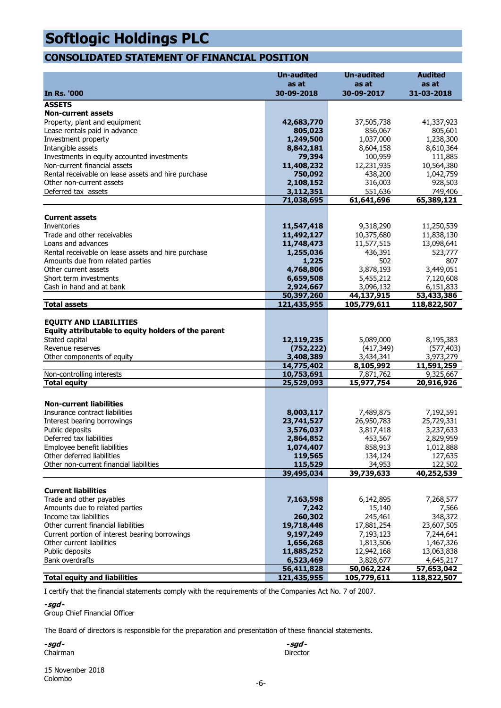### **CONSOLIDATED STATEMENT OF FINANCIAL POSITION**

|                                                                                      | <b>Un-audited</b>       | <b>Un-audited</b>     | <b>Audited</b>        |
|--------------------------------------------------------------------------------------|-------------------------|-----------------------|-----------------------|
|                                                                                      | as at                   | as at                 | as at                 |
| <b>In Rs. '000</b>                                                                   | 30-09-2018              | 30-09-2017            | 31-03-2018            |
| <b>ASSETS</b>                                                                        |                         |                       |                       |
| <b>Non-current assets</b>                                                            |                         |                       |                       |
| Property, plant and equipment                                                        | 42,683,770              | 37,505,738            | 41,337,923            |
| Lease rentals paid in advance                                                        | 805,023                 | 856,067               | 805,601               |
| Investment property                                                                  | 1,249,500               | 1,037,000             | 1,238,300             |
| Intangible assets                                                                    | 8,842,181               | 8,604,158             | 8,610,364             |
| Investments in equity accounted investments                                          | 79,394                  | 100,959               | 111,885               |
| Non-current financial assets                                                         | 11,408,232              | 12,231,935            | 10,564,380            |
| Rental receivable on lease assets and hire purchase                                  | 750,092                 | 438,200               | 1,042,759             |
| Other non-current assets                                                             | 2,108,152               | 316,003               | 928,503               |
| Deferred tax assets                                                                  | 3,112,351<br>71,038,695 | 551,636<br>61,641,696 | 749,406<br>65,389,121 |
|                                                                                      |                         |                       |                       |
| <b>Current assets</b>                                                                |                         |                       |                       |
| Inventories                                                                          | 11,547,418              | 9,318,290             | 11,250,539            |
| Trade and other receivables                                                          | 11,492,127              | 10,375,680            | 11,838,130            |
| Loans and advances                                                                   | 11,748,473              | 11,577,515            | 13,098,641            |
| Rental receivable on lease assets and hire purchase                                  | 1,255,036               | 436,391               | 523,777               |
| Amounts due from related parties                                                     | 1,225                   | 502                   | 807                   |
| Other current assets                                                                 | 4,768,806               | 3,878,193             | 3,449,051             |
| Short term investments                                                               | 6,659,508               | 5,455,212             | 7,120,608             |
| Cash in hand and at bank                                                             | 2,924,667               | 3,096,132             | 6,151,833             |
|                                                                                      | 50,397,260              | 44,137,915            | 53,433,386            |
| <b>Total assets</b>                                                                  | 121,435,955             | 105,779,611           | 118,822,507           |
|                                                                                      |                         |                       |                       |
| <b>EQUITY AND LIABILITIES</b><br>Equity attributable to equity holders of the parent |                         |                       |                       |
| Stated capital                                                                       | 12,119,235              | 5,089,000             | 8,195,383             |
| Revenue reserves                                                                     | (752, 222)              | (417, 349)            | (577, 403)            |
| Other components of equity                                                           | 3,408,389               | 3,434,341             | 3,973,279             |
|                                                                                      | 14,775,402              | 8,105,992             | 11,591,259            |
| Non-controlling interests                                                            | 10,753,691              | 7,871,762             | 9,325,667             |
| <b>Total equity</b>                                                                  | 25,529,093              | 15,977,754            | 20,916,926            |
|                                                                                      |                         |                       |                       |
| <b>Non-current liabilities</b>                                                       |                         |                       |                       |
| Insurance contract liabilities                                                       | 8,003,117               | 7,489,875             | 7,192,591             |
| Interest bearing borrowings                                                          | 23,741,527              | 26,950,783            | 25,729,331            |
| Public deposits                                                                      | 3,576,037               | 3,817,418             | 3,237,633             |
| Deferred tax liabilities                                                             | 2,864,852               | 453,567               | 2,829,959             |
| Employee benefit liabilities                                                         | 1,074,407               | 858,913               | 1,012,888             |
| Other deferred liabilities                                                           | 119,565                 | 134,124               | 127,635               |
| Other non-current financial liabilities                                              | 115,529                 | 34,953                | 122,502               |
|                                                                                      | 39,495,034              | 39,739,633            | 40,252,539            |
| <b>Current liabilities</b>                                                           |                         |                       |                       |
|                                                                                      |                         |                       |                       |
| Trade and other payables<br>Amounts due to related parties                           | 7,163,598<br>7,242      | 6,142,895<br>15,140   | 7,268,577<br>7,566    |
| Income tax liabilities                                                               | 260,302                 | 245,461               | 348,372               |
| Other current financial liabilities                                                  | 19,718,448              | 17,881,254            | 23,607,505            |
| Current portion of interest bearing borrowings                                       | 9,197,249               | 7,193,123             | 7,244,641             |
| Other current liabilities                                                            | 1,656,268               | 1,813,506             | 1,467,326             |
| Public deposits                                                                      | 11,885,252              | 12,942,168            | 13,063,838            |
| Bank overdrafts                                                                      | 6,523,469               | 3,828,677             | 4,645,217             |
|                                                                                      | 56,411,828              | 50,062,224            | 57,653,042            |
| <b>Total equity and liabilities</b>                                                  | 121,435,955             | 105,779,611           | 118,822,507           |

I certify that the financial statements comply with the requirements of the Companies Act No. 7 of 2007.

**-sgd -**

Group Chief Financial Officer

The Board of directors is responsible for the preparation and presentation of these financial statements.

**-sgd - -sgd -**

Chairman Director

15 November 2018 Colombo -6-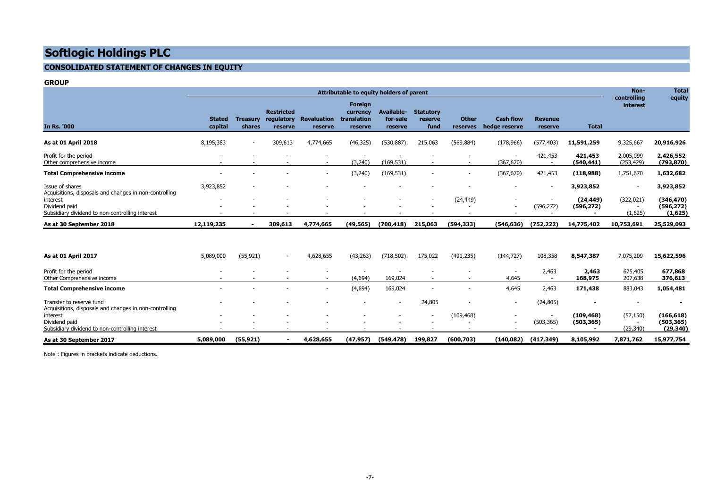#### **CONSOLIDATED STATEMENT OF CHANGES IN EQUITY**

#### **GROUP**

|                                                                              | Attributable to equity holders of parent |                           |                                            |                               |                                                      |                                                      |                                                      |                          |                                                      |                           |                         |                          | <b>Total</b>                        |
|------------------------------------------------------------------------------|------------------------------------------|---------------------------|--------------------------------------------|-------------------------------|------------------------------------------------------|------------------------------------------------------|------------------------------------------------------|--------------------------|------------------------------------------------------|---------------------------|-------------------------|--------------------------|-------------------------------------|
| <b>In Rs. '000</b>                                                           | <b>Stated</b><br>capital                 | <b>Treasury</b><br>shares | <b>Restricted</b><br>regulatory<br>reserve | <b>Revaluation</b><br>reserve | <b>Foreign</b><br>currency<br>translation<br>reserve | <b>Available-</b><br>for-sale<br>reserve             | <b>Statutory</b><br>reserve<br>fund                  | <b>Other</b><br>reserves | <b>Cash flow</b><br>hedge reserve                    | <b>Revenue</b><br>reserve | <b>Total</b>            | controlling<br>interest  | equity                              |
| As at 01 April 2018                                                          | 8,195,383                                | $\overline{\phantom{a}}$  | 309,613                                    | 4,774,665                     | (46,325)                                             | (530, 887)                                           | 215,063                                              | (569, 884)               | (178, 966)                                           | (577, 403)                | 11,591,259              | 9,325,667                | 20,916,926                          |
| Profit for the period<br>Other comprehensive income                          | $\sim$                                   |                           |                                            |                               | (3,240)                                              | (169, 531)                                           |                                                      |                          | $\overline{\phantom{a}}$<br>(367, 670)               | 421,453                   | 421,453<br>(540, 441)   | 2,005,099<br>(253, 429)  | 2,426,552<br>(793, 870)             |
| <b>Total Comprehensive income</b>                                            | $\overline{\phantom{0}}$                 |                           |                                            | $\sim$                        | (3,240)                                              | (169, 531)                                           | $\overline{\phantom{a}}$                             | $\overline{\phantom{a}}$ | (367, 670)                                           | 421,453                   | (118,988)               | 1,751,670                | 1,632,682                           |
| Issue of shares<br>Acquisitions, disposals and changes in non-controlling    | 3,923,852                                |                           |                                            |                               |                                                      |                                                      |                                                      |                          |                                                      | $\overline{\phantom{a}}$  | 3,923,852               | $\overline{\phantom{a}}$ | 3,923,852                           |
| interest<br>Dividend paid<br>Subsidiary dividend to non-controlling interest | $\overline{\phantom{0}}$                 |                           |                                            |                               |                                                      | $\overline{\phantom{a}}$<br>$\overline{\phantom{a}}$ | $\overline{\phantom{a}}$<br>$\overline{\phantom{a}}$ | (24, 449)                | $\overline{\phantom{0}}$<br>$\overline{\phantom{a}}$ | (596, 272)                | (24, 449)<br>(596, 272) | (322, 021)<br>(1,625)    | (346, 470)<br>(596, 272)<br>(1,625) |
| As at 30 September 2018                                                      | 12,119,235                               | $\overline{\phantom{a}}$  | 309,613                                    | 4,774,665                     | (49, 565)                                            | (700, 418)                                           | 215,063                                              | (594, 333)               | (546,636)                                            | (752,222)                 | 14,775,402              | 10,753,691               | 25,529,093                          |
| As at 01 April 2017                                                          | 5,089,000                                | (55, 921)                 | $\overline{\phantom{a}}$                   | 4,628,655                     | (43, 263)                                            | (718, 502)                                           | 175,022                                              | (491, 235)               | (144, 727)                                           | 108,358                   | 8,547,387               | 7,075,209                | 15,622,596                          |

| As at 30 September 2017                                                            | 5,089,000                | (55, 921)                |        | 4,628,655                | (47, 957) | (549, 478)        | 199,827 | (600, 703) | (140, 082)               | (417, 349) | 8,105,992        | 7,871,762          | 15,977,754         |
|------------------------------------------------------------------------------------|--------------------------|--------------------------|--------|--------------------------|-----------|-------------------|---------|------------|--------------------------|------------|------------------|--------------------|--------------------|
| Subsidiary dividend to non-controlling interest                                    |                          |                          |        |                          |           |                   |         |            |                          |            |                  | (29, 340)          | (29, 340)          |
| Dividend paid                                                                      | $\sim$                   | $\overline{\phantom{a}}$ | $\sim$ | $\overline{\phantom{0}}$ |           |                   |         | $\sim$     | . .                      | (503, 365) | (503, 365)       |                    | (503, 365)         |
| interest                                                                           | $\overline{\phantom{a}}$ |                          |        |                          |           |                   |         | (109, 468) |                          |            | (109,468)        | (57, 150)          | (166, 618)         |
| Transfer to reserve fund<br>Acquisitions, disposals and changes in non-controlling | $\sim$                   | $\overline{\phantom{0}}$ |        |                          |           |                   | 24,805  |            | $\overline{\phantom{a}}$ | (24, 805)  |                  |                    |                    |
| <b>Total Comprehensive income</b>                                                  | $\sim$                   |                          |        |                          | (4,694)   | 169,024           |         |            | 4,645                    | 2,463      | 171,438          | 883,043            | 1,054,481          |
| Profit for the period<br>Other Comprehensive income                                | $\sim$                   | $\overline{\phantom{a}}$ | $\sim$ |                          | (4,694)   | 169,024           |         |            | 4,645                    | 2,463      | 2,463<br>168,975 | 675,405<br>207,638 | 677,868<br>376,613 |
|                                                                                    | -,---,---                | $1007 - 12$              |        | ., ,                     | $\sim$    | , <i>,</i> 20100- | ------  | .          | . <i>.</i> .             | $-00,00$   |                  | , , , , , , , , ,  | ---------          |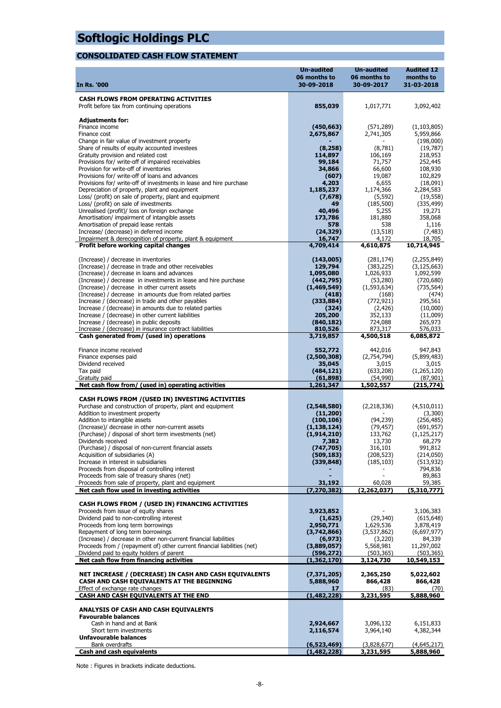### **CONSOLIDATED CASH FLOW STATEMENT**

|                                                                                                     | <b>Un-audited</b>           | <b>Un-audited</b>      | <b>Audited 12</b>       |
|-----------------------------------------------------------------------------------------------------|-----------------------------|------------------------|-------------------------|
|                                                                                                     | 06 months to                | 06 months to           | months to               |
| In Rs. '000                                                                                         | 30-09-2018                  | 30-09-2017             | 31-03-2018              |
| <b>CASH FLOWS FROM OPERATING ACTIVITIES</b>                                                         |                             |                        |                         |
| Profit before tax from continuing operations                                                        | 855,039                     | 1,017,771              | 3,092,402               |
|                                                                                                     |                             |                        |                         |
| <b>Adjustments for:</b>                                                                             |                             |                        |                         |
| Finance income                                                                                      | (450, 663)                  | (571, 289)             | (1, 103, 805)           |
| Finance cost                                                                                        | 2,675,867                   | 2,741,305              | 5,959,866               |
| Change in fair value of investment property                                                         |                             |                        | (198,000)               |
| Share of results of equity accounted investees<br>Gratuity provision and related cost               | (8, 258)<br>114,897         | (8,781)<br>106,169     | (19, 787)<br>218,953    |
| Provisions for/ write-off of impaired receivables                                                   | 99,184                      | 71,757                 | 252,445                 |
| Provision for write-off of inventories                                                              | 34,866                      | 66,600                 | 108,930                 |
| Provisions for/ write-off of loans and advances                                                     | (607)                       | 19,087                 | 102,829                 |
| Provisions for/ write-off of investments in lease and hire purchase                                 | 4,203                       | 6,655                  | (18,091)                |
| Depreciation of property, plant and equipment                                                       | 1,185,237                   | 1,174,366              | 2,284,583               |
| Loss/ (profit) on sale of property, plant and equipment                                             | (7, 678)                    | (5, 592)               | (19, 558)               |
| Loss/ (profit) on sale of investments                                                               | 49                          | (185,500)              | (335, 499)              |
| Unrealised (profit)/ loss on foreign exchange                                                       | 40,496                      | 5,255                  | 19,271                  |
| Amortisation/ impairment of intangible assets                                                       | 173,786                     | 181,880                | 358,068                 |
| Amortisation of prepaid lease rentals<br>Increase/ (decrease) in deferred income                    | 578                         | 538                    | 1,116                   |
| Impairment & derecognition of property, plant & equipment                                           | (24, 329)<br>16,747         | (13, 518)<br>4,172     | (7, 483)<br>18,705      |
| Profit before working capital changes                                                               | 4,709,414                   | 4,610,875              | 10,714,945              |
|                                                                                                     |                             |                        |                         |
| (Increase) / decrease in inventories                                                                | (143,005)                   | (281, 174)             | (2,255,849)             |
| (Increase) / decrease in trade and other receivables                                                | 129,794                     | (383, 225)             | (3, 125, 663)           |
| (Increase) / decrease in loans and advances                                                         | 1,095,080                   | 1,026,933              | 1,092,599               |
| (Increase) / decrease in investments in lease and hire purchase                                     | (442,795)                   | (53, 280)              | (720, 680)              |
| (Increase) / decrease in other current assets                                                       | (1,469,549)                 | (1,593,634)            | (735, 564)              |
| (Increase) / decrease in amounts due from related parties                                           | (418)                       | (168)                  | (474)                   |
| Increase / (decrease) in trade and other payables                                                   | (333, 884)                  | (772, 921)             | 295,561                 |
| Increase / (decrease) in amounts due to related parties                                             | (324)                       | (2, 426)               | (10,000)                |
| Increase / (decrease) in other current liabilities                                                  | 205,200                     | 352,133                | (11,009)                |
| Increase / (decrease) in public deposits<br>Increase / (decrease) in insurance contract liabilities | (840, 182)<br>810,526       | 724,088<br>873,317     | 265,973<br>576,033      |
| Cash generated from/ (used in) operations                                                           | 3,719,857                   | 4,500,518              | 6,085,872               |
|                                                                                                     |                             |                        |                         |
| Finance income received                                                                             | 552,772                     | 442,016                | 947,843                 |
| Finance expenses paid                                                                               | (2,500,308)                 | (2,754,794)            | (5,899,483)             |
| Dividend received                                                                                   | 35,045                      | 3,015                  | 3,015                   |
| Tax paid                                                                                            | (484, 121)                  | (633, 208)             | (1,265,120)             |
| Gratuity paid                                                                                       | (61, 898)                   | (54,990)               | (87, 901)               |
| Net cash flow from/ (used in) operating activities                                                  | 1,261,347                   | 1,502,557              | (215,774)               |
|                                                                                                     |                             |                        |                         |
| CASH FLOWS FROM / (USED IN) INVESTING ACTIVITIES                                                    |                             |                        |                         |
| Purchase and construction of property, plant and equipment                                          | (2,548,580)                 | (2,218,336)            | (4,510,011)             |
| Addition to investment property<br>Addition to intangible assets                                    | (11,200)                    |                        | (3,300)<br>(256, 485)   |
| (Increase)/ decrease in other non-current assets                                                    | (100, 106)<br>(1, 138, 124) | (94, 239)<br>(79, 457) | (691, 957)              |
| (Purchase) / disposal of short term investments (net)                                               | (1,914,210)                 | 133,762                | (1, 125, 217)           |
| Dividends received                                                                                  | 7,382                       | 13,730                 | 68,279                  |
| (Purchase) / disposal of non-current financial assets                                               | (747, 705)                  | 316,101                | 991,812                 |
| Acquisition of subsidiaries (A)                                                                     | (509, 183)                  | (208, 523)             | (214,050)               |
| Increase in interest in subsidiaries                                                                | (339, 848)                  | (185, 103)             | (513, 932)              |
| Proceeds from disposal of controlling interest                                                      |                             |                        | 794,836                 |
| Proceeds from sale of treasury shares (net)                                                         |                             |                        | 89,863                  |
| Proceeds from sale of property, plant and equipment                                                 | 31,192                      | 60,028                 | 59,385                  |
| Net cash flow used in investing activities                                                          | (7, 270, 382)               | (2, 262, 037)          | (5,310,777)             |
|                                                                                                     |                             |                        |                         |
| CASH FLOWS FROM / (USED IN) FINANCING ACTIVITIES<br>Proceeds from issue of equity shares            |                             |                        |                         |
| Dividend paid to non-controlling interest                                                           | 3,923,852<br>(1,625)        | (29, 340)              | 3,106,383               |
| Proceeds from long term borrowings                                                                  | 2,950,771                   | 1,629,536              | (615, 648)<br>3,878,419 |
| Repayment of long term borrowings                                                                   | (3,742,866)                 | (3,537,862)            | (6,697,977)             |
| (Increase) / decrease in other non-current financial liabilities                                    | (6, 973)                    | (3,220)                | 84,339                  |
| Proceeds from / (repayment of) other current financial liabilities (net)                            | (3,889,057)                 | 5,568,981              | 11,297,002              |
| Dividend paid to equity holders of parent                                                           | (596,272)                   | (503, 365)             | (503, 365)              |
| Net cash flow from financing activities                                                             | (1,362,170)                 | 3,124,730              | 10,549,153              |
|                                                                                                     |                             |                        |                         |
| NET INCREASE / (DECREASE) IN CASH AND CASH EQUIVALENTS                                              | (7, 371, 205)               | 2,365,250              | 5,022,602               |
| CASH AND CASH EQUIVALENTS AT THE BEGINNING                                                          | 5,888,960                   | 866,428                | 866,428                 |
| Effect of exchange rate changes                                                                     | 17                          | (83)                   | (70)                    |
| CASH AND CASH EQUIVALENTS AT THE END                                                                | (1,482,228)                 | 3,231,595              | 5,888,960               |
| <b>ANALYSIS OF CASH AND CASH EQUIVALENTS</b>                                                        |                             |                        |                         |
| <b>Favourable balances</b>                                                                          |                             |                        |                         |
| Cash in hand and at Bank                                                                            | 2,924,667                   | 3,096,132              | 6,151,833               |
| Short term investments                                                                              | 2,116,574                   | 3,964,140              | 4,382,344               |
| <b>Unfavourable balances</b>                                                                        |                             |                        |                         |
| Bank overdrafts                                                                                     | (6,523,469)                 | (3,828,677)            | (4,645,217)             |
| <b>Cash and cash equivalents</b>                                                                    | (1,482,228)                 | 3,231,595              | 5,888,960               |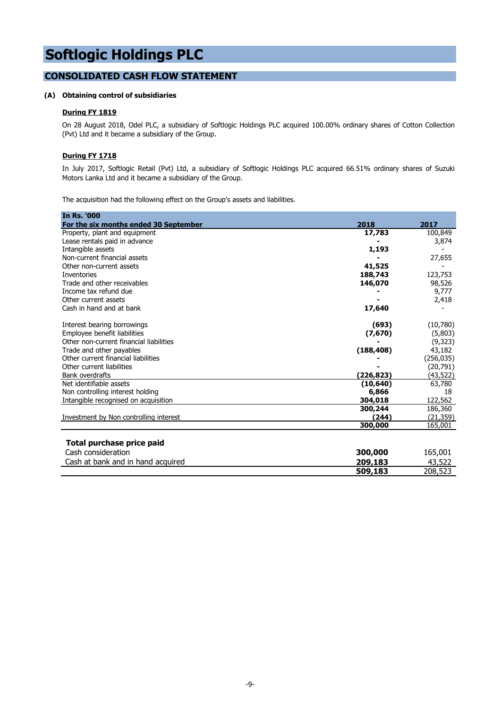#### **CONSOLIDATED CASH FLOW STATEMENT**

#### **(A) Obtaining control of subsidiaries**

#### **During FY 1819**

On 28 August 2018, Odel PLC, a subsidiary of Softlogic Holdings PLC acquired 100.00% ordinary shares of Cotton Collection (Pvt) Ltd and it became a subsidiary of the Group.

#### **During FY 1718**

In July 2017, Softlogic Retail (Pvt) Ltd, a subsidiary of Softlogic Holdings PLC acquired 66.51% ordinary shares of Suzuki Motors Lanka Ltd and it became a subsidiary of the Group.

The acquisition had the following effect on the Group's assets and liabilities.

| <b>In Rs. '000</b>                      |            |            |
|-----------------------------------------|------------|------------|
| For the six months ended 30 September   | 2018       | 2017       |
| Property, plant and equipment           | 17,783     | 100,849    |
| Lease rentals paid in advance           |            | 3,874      |
| Intangible assets                       | 1,193      |            |
| Non-current financial assets            |            | 27,655     |
| Other non-current assets                | 41,525     |            |
| Inventories                             | 188,743    | 123,753    |
| Trade and other receivables             | 146,070    | 98,526     |
| Income tax refund due                   |            | 9,777      |
| Other current assets                    |            | 2,418      |
| Cash in hand and at bank                | 17,640     |            |
| Interest bearing borrowings             | (693)      | (10,780)   |
| Employee benefit liabilities            | (7,670)    | (5,803)    |
| Other non-current financial liabilities |            | (9, 323)   |
| Trade and other payables                | (188, 408) | 43,182     |
| Other current financial liabilities     |            | (256, 035) |
| Other current liabilities               |            | (20, 791)  |
| Bank overdrafts                         | (226,823)  | (43,522)   |
| Net identifiable assets                 | (10, 640)  | 63,780     |
| Non controlling interest holding        | 6,866      | 18         |
| Intangible recognised on acquisition    | 304,018    | 122,562    |
|                                         | 300,244    | 186,360    |
| Investment by Non controlling interest  | (244)      | (21,359)   |
|                                         | 300,000    | 165,001    |
|                                         |            |            |
| Total purchase price paid               |            |            |
| Cash consideration                      | 300,000    | 165,001    |
| Cash at bank and in hand acquired       | 209,183    | 43,522     |
|                                         | 509,183    | 208,523    |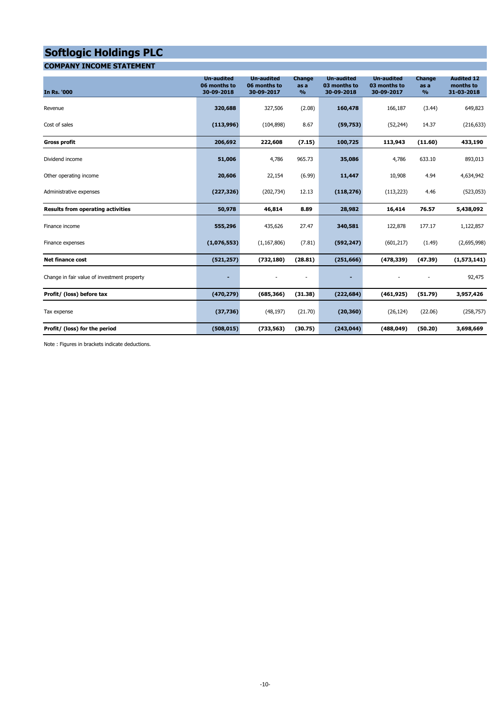#### **COMPANY INCOME STATEMENT In Rs. '000 Un-audited 06 months to 30-09-2018 Un-audited 06 months to 30-09-2017 Change as a % Un-audited 03 months to 30-09-2018 Un-audited 03 months to 30-09-2017 Change as a % Audited 12 months to 31-03-2018**  Revenue **320,688** 327,506 (2.08) **160,478** 166,187 (3.44) 649,823 Cost of sales **(113,996)** (104,898) 8.67 **(59,753)** (52,244) 14.37 (216,633) **Gross profit 206,692 222,608 (7.15) 100,725 113,943 (11.60) 433,190** Dividend income **51,006** 4,786 965.73 **35,086** 4,786 633.10 893,013 Other operating income 20,606 22,154 (6.99) **11,447** 10,908 4.94 4,634,942 Administrative expenses **(227,326)** (202,734) 12.13 **(118,276)** (113,223) 4.46 (523,053) **Results from operating activities 50,978 46,814 8.89 28,982 16,414 76.57 5,438,092** Finance income **555,296** 435,626 27.47 **340,581** 122,878 177.17 1,122,857 Finance expenses **(1,076,553)** (1,167,806) (7.81) **(592,247)** (601,217) (1.49) (2,695,998) **Net finance cost (521,257) (732,180) (28.81) (251,666) (478,339) (47.39) (1,573,141)** Change in fair value of investment property **-** - - - - - - - - - - - - - - 92,475 **Profit/ (loss) before tax (470,279) (685,366) (31.38) (222,684) (461,925) (51.79) 3,957,426** Tax expense **(37,736)** (48,197) (21.70) **(20,360)** (26,124) (22.06) (258,757) **Profit/ (loss) for the period (508,015) (733,563) (30.75) (243,044) (488,049) (50.20) 3,698,669**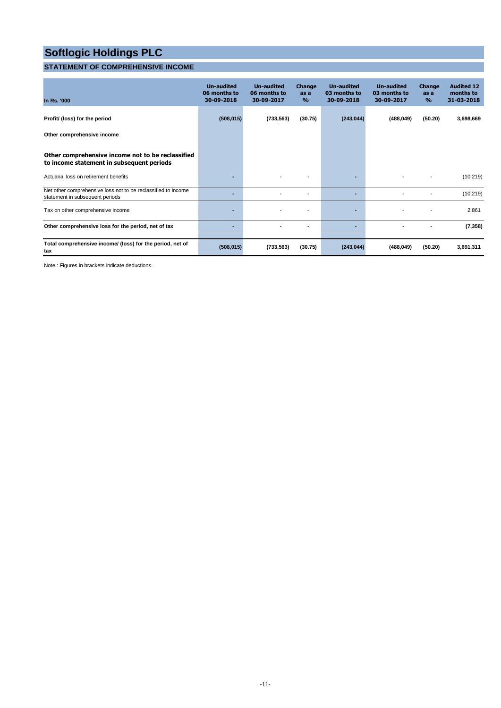### **STATEMENT OF COMPREHENSIVE INCOME**

| In Rs. '000                                                                                      | <b>Un-audited</b><br>06 months to<br>30-09-2018 | <b>Un-audited</b><br>06 months to<br>30-09-2017 | <b>Change</b><br>as a<br>$\frac{9}{6}$ | Un-audited<br>03 months to<br>30-09-2018 | <b>Un-audited</b><br>03 months to<br>30-09-2017 | <b>Change</b><br>as a<br>$\frac{9}{6}$ | <b>Audited 12</b><br>months to<br>31-03-2018 |
|--------------------------------------------------------------------------------------------------|-------------------------------------------------|-------------------------------------------------|----------------------------------------|------------------------------------------|-------------------------------------------------|----------------------------------------|----------------------------------------------|
| Profit/ (loss) for the period                                                                    | (508, 015)                                      | (733, 563)                                      | (30.75)                                | (243, 044)                               | (488, 049)                                      | (50.20)                                | 3,698,669                                    |
| Other comprehensive income                                                                       |                                                 |                                                 |                                        |                                          |                                                 |                                        |                                              |
| Other comprehensive income not to be reclassified<br>to income statement in subsequent periods   |                                                 |                                                 |                                        |                                          |                                                 |                                        |                                              |
| Actuarial loss on retirement benefits                                                            | ٠                                               |                                                 |                                        |                                          |                                                 |                                        | (10, 219)                                    |
| Net other comprehensive loss not to be reclassified to income<br>statement in subsequent periods | ٠                                               |                                                 | ٠                                      | ۰                                        |                                                 |                                        | (10, 219)                                    |
| Tax on other comprehensive income                                                                | ٠                                               |                                                 |                                        | ۰                                        |                                                 |                                        | 2,861                                        |
| Other comprehensive loss for the period, net of tax                                              | ٠                                               |                                                 | ٠                                      | ۰                                        |                                                 |                                        | (7, 358)                                     |
| Total comprehensive income/ (loss) for the period, net of<br>tax                                 | (508, 015)                                      | (733, 563)                                      | (30.75)                                | (243, 044)                               | (488, 049)                                      | (50.20)                                | 3,691,311                                    |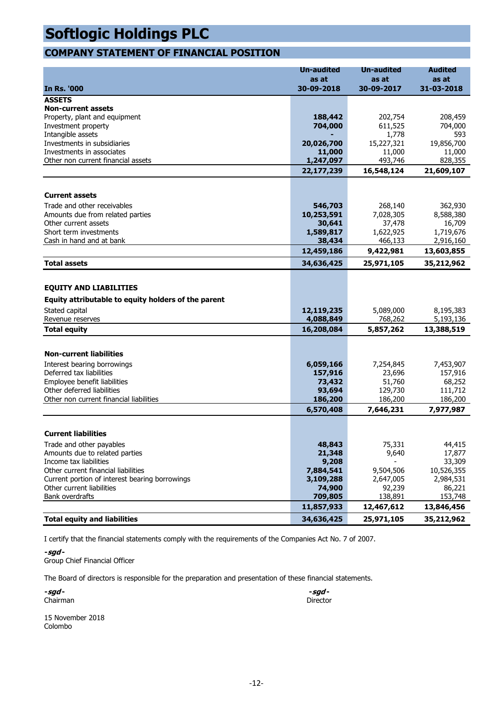### **COMPANY STATEMENT OF FINANCIAL POSITION**

|                                                     | <b>Un-audited</b>     | <b>Un-audited</b>     | <b>Audited</b>        |
|-----------------------------------------------------|-----------------------|-----------------------|-----------------------|
|                                                     | as at                 | as at                 | as at                 |
| <b>In Rs. '000</b>                                  | 30-09-2018            | 30-09-2017            | 31-03-2018            |
| <b>ASSETS</b>                                       |                       |                       |                       |
| <b>Non-current assets</b>                           |                       |                       |                       |
| Property, plant and equipment                       | 188,442<br>704,000    | 202,754<br>611,525    | 208,459<br>704,000    |
| Investment property<br>Intangible assets            |                       | 1,778                 | 593                   |
| Investments in subsidiaries                         | 20,026,700            | 15,227,321            | 19,856,700            |
| Investments in associates                           | 11,000                | 11,000                | 11,000                |
| Other non current financial assets                  | 1,247,097             | 493,746               | 828,355               |
|                                                     | 22,177,239            | 16,548,124            | 21,609,107            |
|                                                     |                       |                       |                       |
| <b>Current assets</b>                               |                       |                       |                       |
| Trade and other receivables                         | 546,703               | 268,140               | 362,930               |
| Amounts due from related parties                    | 10,253,591            | 7,028,305             | 8,588,380             |
| Other current assets                                | 30,641                | 37,478                | 16,709                |
| Short term investments                              | 1,589,817             | 1,622,925             | 1,719,676             |
| Cash in hand and at bank                            | 38,434                | 466,133               | 2,916,160             |
|                                                     | 12,459,186            | 9,422,981             | 13,603,855            |
| <b>Total assets</b>                                 | 34,636,425            | 25,971,105            | 35,212,962            |
|                                                     |                       |                       |                       |
| <b>EQUITY AND LIABILITIES</b>                       |                       |                       |                       |
| Equity attributable to equity holders of the parent |                       |                       |                       |
| Stated capital                                      | 12,119,235            | 5,089,000             | 8,195,383             |
| Revenue reserves                                    | 4,088,849             | 768,262               | 5,193,136             |
| <b>Total equity</b>                                 | 16,208,084            | 5,857,262             | 13,388,519            |
|                                                     |                       |                       |                       |
| <b>Non-current liabilities</b>                      |                       |                       |                       |
| Interest bearing borrowings                         | 6,059,166             | 7,254,845             | 7,453,907             |
| Deferred tax liabilities                            | 157,916               | 23,696                | 157,916               |
| Employee benefit liabilities                        | 73,432                | 51,760                | 68,252                |
| Other deferred liabilities                          | 93,694                | 129,730               | 111,712               |
| Other non current financial liabilities             | 186,200               | 186,200               | 186,200               |
|                                                     | 6,570,408             | 7,646,231             | 7,977,987             |
|                                                     |                       |                       |                       |
| <b>Current liabilities</b>                          |                       |                       |                       |
| Trade and other payables                            | 48,843                | 75,331                | 44,415                |
| Amounts due to related parties                      | 21,348                | 9,640                 | 17,877                |
| Income tax liabilities                              | 9,208                 |                       | 33,309                |
| Other current financial liabilities                 | 7,884,541             | 9,504,506             | 10,526,355            |
| Current portion of interest bearing borrowings      | 3,109,288             | 2,647,005             | 2,984,531             |
| Other current liabilities                           | 74,900                | 92,239                | 86,221                |
| Bank overdrafts                                     | 709,805<br>11,857,933 | 138,891<br>12,467,612 | 153,748<br>13,846,456 |
|                                                     |                       |                       |                       |
| <b>Total equity and liabilities</b>                 | 34,636,425            | 25,971,105            | 35,212,962            |

I certify that the financial statements comply with the requirements of the Companies Act No. 7 of 2007.

**-sgd -** Group Chief Financial Officer

The Board of directors is responsible for the preparation and presentation of these financial statements.

**-sgd - -sgd -** Chairman Director

15 November 2018 Colombo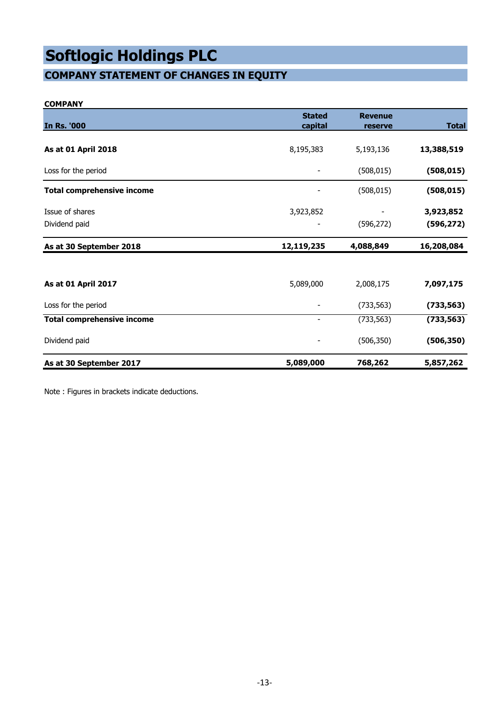### **COMPANY STATEMENT OF CHANGES IN EQUITY**

### **COMPANY**

| <b>In Rs. '000</b>                | <b>Stated</b><br>capital | <b>Revenue</b><br>reserve | <b>Total</b> |
|-----------------------------------|--------------------------|---------------------------|--------------|
|                                   |                          |                           |              |
| As at 01 April 2018               | 8,195,383                | 5,193,136                 | 13,388,519   |
| Loss for the period               |                          | (508, 015)                | (508, 015)   |
| <b>Total comprehensive income</b> |                          | (508, 015)                | (508, 015)   |
| Issue of shares                   | 3,923,852                |                           | 3,923,852    |
| Dividend paid                     |                          | (596, 272)                | (596, 272)   |
| As at 30 September 2018           | 12,119,235               | 4,088,849                 | 16,208,084   |
|                                   |                          |                           |              |
| As at 01 April 2017               | 5,089,000                | 2,008,175                 | 7,097,175    |
| Loss for the period               |                          | (733, 563)                | (733, 563)   |
| <b>Total comprehensive income</b> | $\overline{\phantom{a}}$ | (733, 563)                | (733, 563)   |
| Dividend paid                     |                          | (506, 350)                | (506, 350)   |
| As at 30 September 2017           | 5,089,000                | 768,262                   | 5,857,262    |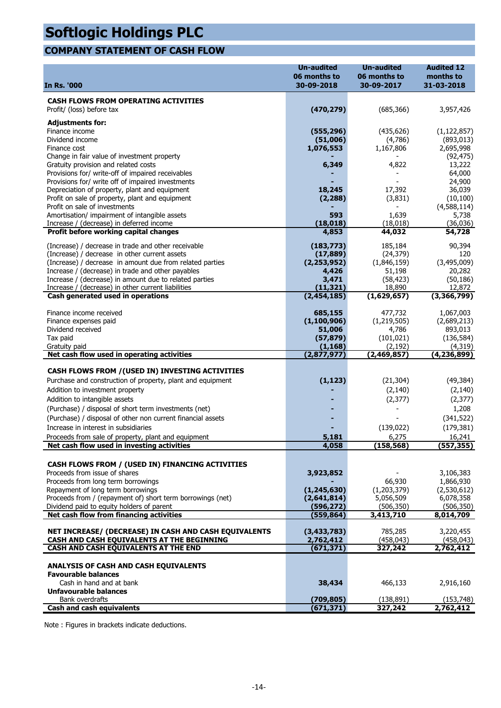### **COMPANY STATEMENT OF CASH FLOW**

| In Rs. '000                                                                                                  | <b>Un-audited</b><br>06 months to<br>30-09-2018 | <b>Un-audited</b><br>06 months to<br>30-09-2017 | <b>Audited 12</b><br>months to<br>31-03-2018 |
|--------------------------------------------------------------------------------------------------------------|-------------------------------------------------|-------------------------------------------------|----------------------------------------------|
|                                                                                                              |                                                 |                                                 |                                              |
| <b>CASH FLOWS FROM OPERATING ACTIVITIES</b><br>Profit/ (loss) before tax                                     | (470, 279)                                      | (685, 366)                                      | 3,957,426                                    |
| <b>Adjustments for:</b>                                                                                      |                                                 |                                                 |                                              |
| Finance income                                                                                               | (555, 296)                                      | (435, 626)                                      | (1, 122, 857)                                |
| Dividend income                                                                                              | (51,006)                                        | (4,786)                                         | (893, 013)                                   |
| Finance cost                                                                                                 | 1,076,553                                       | 1,167,806                                       | 2,695,998                                    |
| Change in fair value of investment property<br>Gratuity provision and related costs                          | 6,349                                           | 4,822                                           | (92, 475)<br>13,222                          |
| Provisions for/ write-off of impaired receivables                                                            |                                                 |                                                 | 64,000                                       |
| Provisions for/ write off of impaired investments                                                            |                                                 |                                                 | 24,900                                       |
| Depreciation of property, plant and equipment                                                                | 18,245                                          | 17,392                                          | 36,039                                       |
| Profit on sale of property, plant and equipment                                                              | (2, 288)                                        | (3, 831)                                        | (10, 100)                                    |
| Profit on sale of investments                                                                                |                                                 |                                                 | (4,588,114)                                  |
| Amortisation/ impairment of intangible assets                                                                | 593                                             | 1,639                                           | 5,738                                        |
| Increase / (decrease) in deferred income                                                                     | (18, 018)                                       | (18, 018)                                       | (36,036)                                     |
| Profit before working capital changes                                                                        | 4,853                                           | 44,032                                          | 54,728                                       |
| (Increase) / decrease in trade and other receivable                                                          | (183, 773)                                      | 185,184                                         | 90,394                                       |
| (Increase) / decrease in other current assets                                                                | (17, 889)                                       | (24, 379)                                       | 120                                          |
| (Increase) / decrease in amount due from related parties                                                     | (2, 253, 952)                                   | (1,846,159)                                     | (3,495,009)                                  |
| Increase / (decrease) in trade and other payables                                                            | 4,426                                           | 51,198                                          | 20,282                                       |
| Increase / (decrease) in amount due to related parties<br>Increase / (decrease) in other current liabilities | 3,471<br>(11, 321)                              | (58, 423)<br>18,890                             | (50, 186)<br>12,872                          |
| Cash generated used in operations                                                                            | (2,454,185)                                     | (1,629,657)                                     | (3,366,799)                                  |
|                                                                                                              |                                                 |                                                 |                                              |
| Finance income received                                                                                      | 685,155                                         | 477,732                                         | 1,067,003                                    |
| Finance expenses paid                                                                                        | (1, 100, 906)                                   | (1,219,505)                                     | (2,689,213)                                  |
| Dividend received                                                                                            | 51,006                                          | 4,786                                           | 893,013                                      |
| Tax paid<br>Gratuity paid                                                                                    | (57, 879)                                       | (101, 021)<br>(2, 192)                          | (136, 584)<br>(4, 319)                       |
| Net cash flow used in operating activities                                                                   | (1, 168)<br>(2,877,977)                         | (2,469,857)                                     | (4, 236, 899)                                |
|                                                                                                              |                                                 |                                                 |                                              |
| CASH FLOWS FROM / (USED IN) INVESTING ACTIVITIES                                                             |                                                 |                                                 |                                              |
| Purchase and construction of property, plant and equipment                                                   | (1, 123)                                        | (21, 304)                                       | (49, 384)                                    |
| Addition to investment property                                                                              |                                                 | (2, 140)                                        | (2, 140)                                     |
| Addition to intangible assets                                                                                |                                                 | (2, 377)                                        | (2, 377)                                     |
| (Purchase) / disposal of short term investments (net)                                                        |                                                 |                                                 | 1,208                                        |
| (Purchase) / disposal of other non current financial assets                                                  |                                                 |                                                 | (341, 522)                                   |
| Increase in interest in subsidiaries                                                                         |                                                 | (139, 022)                                      | (179, 381)                                   |
| Proceeds from sale of property, plant and equipment                                                          | 5.181                                           | 6.275                                           | 16.241                                       |
| Net cash flow used in investing activities                                                                   | 4,058                                           | (158,568)                                       | (557, 355)                                   |
|                                                                                                              |                                                 |                                                 |                                              |
| CASH FLOWS FROM / (USED IN) FINANCING ACTIVITIES<br>Proceeds from issue of shares                            | 3,923,852                                       |                                                 | 3,106,383                                    |
| Proceeds from long term borrowings                                                                           |                                                 | 66,930                                          | 1,866,930                                    |
| Repayment of long term borrowings                                                                            | (1, 245, 630)                                   | (1,203,379)                                     | (2,530,612)                                  |
| Proceeds from / (repayment of) short term borrowings (net)                                                   | (2,641,814)                                     | 5,056,509                                       | 6,078,358                                    |
| Dividend paid to equity holders of parent                                                                    | (596, 272)                                      | (506, 350)                                      | (506, 350)                                   |
| Net cash flow from financing activities                                                                      | (559, 864)                                      | 3,413,710                                       | 8,014,709                                    |
|                                                                                                              |                                                 |                                                 |                                              |
| NET INCREASE/ (DECREASE) IN CASH AND CASH EQUIVALENTS<br>CASH AND CASH EQUIVALENTS AT THE BEGINNING          | (3, 433, 783)<br>2,762,412                      | 785,285<br>(458, 043)                           | 3,220,455<br>(458, 043)                      |
| CASH AND CASH EQUIVALENTS AT THE END                                                                         | (671, 371)                                      | 327,242                                         | 2,762,412                                    |
|                                                                                                              |                                                 |                                                 |                                              |
| ANALYSIS OF CASH AND CASH EQUIVALENTS                                                                        |                                                 |                                                 |                                              |
| <b>Favourable balances</b>                                                                                   |                                                 |                                                 |                                              |
| Cash in hand and at bank                                                                                     | 38,434                                          | 466,133                                         | 2,916,160                                    |
| <b>Unfavourable balances</b>                                                                                 |                                                 |                                                 |                                              |
| Bank overdrafts<br><b>Cash and cash equivalents</b>                                                          | (709, 805)<br>(671, 371)                        | (138, 891)<br>327,242                           | (153, 748)<br>2,762,412                      |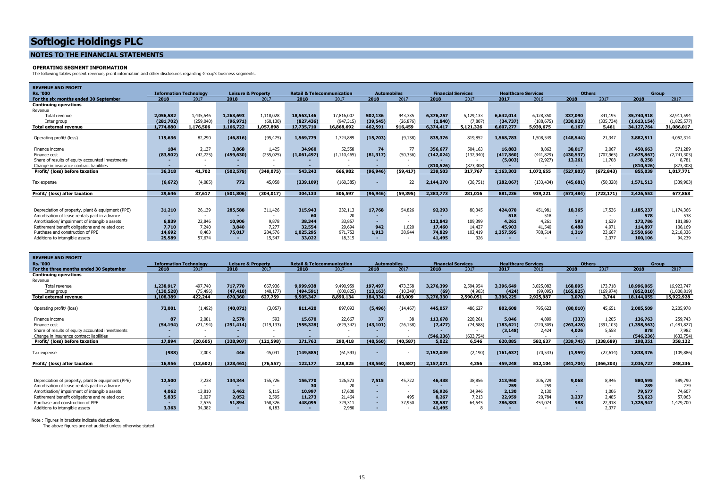#### **NOTES TO THE FINANCIAL STATEMENTS**

#### **OPERATING SEGMENT INFORMATION**

The following tables present revenue, profit information and other disclosures regarding Group's business segments.

| <b>REVENUE AND PROFIT</b>                         |                               |           |                          |                               |                                       |               |                |                          |                           |                          |                            |            |               |            |              |             |
|---------------------------------------------------|-------------------------------|-----------|--------------------------|-------------------------------|---------------------------------------|---------------|----------------|--------------------------|---------------------------|--------------------------|----------------------------|------------|---------------|------------|--------------|-------------|
| Rs. '000                                          | <b>Information Technology</b> |           |                          | <b>Leisure &amp; Property</b> | <b>Retail &amp; Telecommunication</b> |               |                | <b>Automobiles</b>       | <b>Financial Services</b> |                          | <b>Healthcare Services</b> |            | <b>Others</b> |            | <b>Group</b> |             |
| For the six months ended 30 September             | 2018                          | 2017      | 2018                     | 2017                          | 2018                                  | 2017          | 2018           | 2017                     | 2018                      | 2017                     | 2017                       | 2016       | 2018          | 2017       | 2018         | 2017        |
| <b>Continuing operations</b>                      |                               |           |                          |                               |                                       |               |                |                          |                           |                          |                            |            |               |            |              |             |
| Revenue                                           |                               |           |                          |                               |                                       |               |                |                          |                           |                          |                            |            |               |            |              |             |
| Total revenue                                     | 2,056,582                     | 1,435,546 | 1,263,693                | 1,118,028                     | 18,563,146                            | 17,816,007    | 502,136        | 943,335                  | 6,376,257                 | 5,129,133                | 6,642,014                  | 6,128,350  | 337,090       | 341,195    | 35,740,918   | 32,911,594  |
| Inter group                                       | (281,702)                     | (259,040) | (96, 971)                | (60, 130)                     | (827, 436)                            | (947.315)     | (39, 545)      | (26, 876)                | (1, 840)                  | (7.807)                  | (34, 737)                  | (188, 675) | (330, 923)    | (335, 734) | (1.613.154)  | (1,825,577) |
| Total external revenue                            | 1,774,880                     | 1,176,506 | 1,166,722                | L,057,898                     | 17,735,710                            | 16,868,692    | 462,591        | 916,459                  | 6,374,417                 | 5,121,326                | 6,607,277                  | 5,939,675  | 6.167         | 5,461      | 34.127.764   | 31,086,017  |
| Operating profit/ (loss)                          | 119,636                       | 82,290    | (46, 816)                | (95, 475)                     | 1,569,779                             | 1,724,889     | (15,703)       | (9, 138)                 | 835,376                   | 819,852                  | 1,568,783                  | 1,508,549  | (148, 544)    | 21.347     | 3,882,511    | 4,052,314   |
| Finance income                                    | 184                           | 2.137     | 3,868                    | 1.425                         | 34,960                                | 52,558        | 74             | 77                       | 356,677                   | 504,163                  | 16,883                     | 8.862      | 38,017        | 2.067      | 450,663      | 571,289     |
| Finance cost                                      | (83, 502)                     | (42, 725) | (459, 630)               | (255, 025)                    | (1,061,497)                           | (1, 110, 465) | (81, 317)      | (50, 356)                | (142, 024)                | (132,940)                | (417, 360)                 | (441, 829) | (430, 537)    | (707, 965) | (2,675,867)  | (2,741,305) |
| Share of results of equity accounted investments  |                               |           |                          |                               |                                       |               |                |                          |                           |                          | (5,003)                    | (2,927)    | 13,261        | 11,708     | 8,258        | 8,781       |
| Change in insurance contract liabilities          |                               |           |                          |                               |                                       |               |                |                          | (810.526)                 | (873.308)                |                            |            |               |            | (810.526)    | (873, 308)  |
| Profit/ (loss) before taxation                    | 36,318                        | 41,702    | (502, 578)               | (349.075)                     | 543,242                               | 666,982       | (96, 946)      | (59, 417)                | 239,503                   | 317.767                  | 1,163,303                  | 1.072.655  | (527, 803)    | (672.843)  | 855,039      | 1,017,771   |
| Tax expense                                       | (6, 672)                      | (4,085)   | 772                      | 45.058                        | (239, 109)                            | (160, 385)    |                | 22                       | 2.144.270                 | (36,751)                 | (282,067)                  | (133, 434) | (45, 681)     | (50, 328)  | 1,571,513    | (339,903)   |
| Profit/ (loss) after taxation                     | 29,646                        | 37,617    | (501.806)                | (304.017)                     | 304,133                               | 506,597       | (96, 946)      | (59, 395)                | 2,383,773                 | 281,016                  | 881,236                    | 939,221    | (573, 484)    | (723,171)  | 2,426,552    | 677,868     |
|                                                   |                               |           |                          |                               |                                       |               |                |                          |                           |                          |                            |            |               |            |              |             |
| Depreciation of property, plant & equipment (PPE) | 31,210                        | 26.139    | 285,588                  | 311.426                       | 315,943                               | 232,113       | 17,768         | 54,826                   | 92,293                    | 80.345                   | 424,070                    | 451,981    | 18,365        | 17.536     | 1,185,237    | 1,174,366   |
| Amortisation of lease rentals paid in advance     | $\overline{a}$                | $\sim$    | $\overline{\phantom{a}}$ | $\sim$                        | 60                                    | 20            |                | $\overline{\phantom{a}}$ | $\overline{\phantom{a}}$  | $\overline{\phantom{a}}$ | 518                        | 518        | $\sim$        | $\sim$     | 578          | 538         |
| Amortisation/ impairment of intangible assets     | 6,839                         | 22.846    | 10,906                   | 9.878                         | 38,344                                | 33.857        |                | $\overline{\phantom{a}}$ | 112,843                   | 109,399                  | 4,261                      | 4,261      | 593           | 1.639      | 173,786      | 181,880     |
| Retirement benefit obligations and related cost   | 7.710                         | 7,240     | 3,840                    | 7,277                         | 32,554                                | 29,694        | 942            | 1,020                    | 17,460                    | 14,427                   | 45,903                     | 41,540     | 6,488         | 4,971      | 114,897      | 106,169     |
| Purchase and construction of PPE                  | 14,692                        | 8.463     | 75,017                   | 284,576                       | 1,025,295                             | 971,753       | 1.913          | 38,944                   | 74,829                    | 102,419                  | 1,357,595                  | 788,514    | 1.319         | 23,667     | 2,550,660    | 2,218,336   |
| Additions to intangible assets                    | 25,589                        | 57.674    | $\sim$                   | 15.547                        | 33,022                                | 18.315        | $\overline{a}$ |                          | 41,495                    | 326                      | $\overline{\phantom{a}}$   |            | $\sim$        | 2.377      | 100,106      | 94.239      |

| <b>REVENUE AND PROFIT</b>                         |            |                               |            |                               |                                       |            |           |                    |            |                           |            |                            |            |               |               |             |
|---------------------------------------------------|------------|-------------------------------|------------|-------------------------------|---------------------------------------|------------|-----------|--------------------|------------|---------------------------|------------|----------------------------|------------|---------------|---------------|-------------|
| <b>Rs. '000</b>                                   |            | <b>Information Technology</b> |            | <b>Leisure &amp; Property</b> | <b>Retail &amp; Telecommunication</b> |            |           | <b>Automobiles</b> |            | <b>Financial Services</b> |            | <b>Healthcare Services</b> |            | <b>Others</b> |               | Group       |
| For the three months ended 30 September           | 2018       | 2017                          | 2018       | 2017                          | 2018                                  | 2017       | 2018      | 2017               | 2018       | 2017                      | 2017       | 2016                       | 2018       | 2017          | 2018          | 2017        |
| <b>Continuing operations</b>                      |            |                               |            |                               |                                       |            |           |                    |            |                           |            |                            |            |               |               |             |
| Revenue                                           |            |                               |            |                               |                                       |            |           |                    |            |                           |            |                            |            |               |               |             |
| Total revenue                                     | 1,238,917  | 497,740                       | 717,770    | 667,936                       | 9,999,938                             | 9,490,959  | 197,497   | 473,358            | 3,276,399  | 2,594,954                 | 3,396,649  | 3,025,082                  | 168,895    | 173,718       | 18,996,065    | 16,923,747  |
| Inter group                                       | (130, 528) | (75, 496)                     | (47, 410)  | (40, 177)                     | (494, 591)                            | (600, 825) | (13, 163) | (10, 349)          | (69)       | (4,903)                   | (424)      | (99,095)                   | (165, 825) | (169, 974)    | (852, 010)    | (1,000,819) |
| <b>Total external revenue</b>                     | 1,108,389  | 422,244                       | 670,360    | 627,759                       | 9,505,347                             | 8,890,134  | 184,334   | 463,009            | 3,276,330  | 2,590,051                 | 3,396,225  | 2,925,987                  | 3,070      | 3,744         | 18,144,055    | 15,922,928  |
|                                                   |            |                               |            |                               |                                       |            |           |                    |            |                           |            |                            |            |               |               |             |
| Operating profit/ (loss)                          | 72,001     | (1, 492)                      | (40, 071)  | (3,057)                       | 811,420                               | 897,093    | (5, 496)  | (14, 467)          | 445,057    | 486,627                   | 802,608    | 795,623                    | (80, 010)  | 45.651        | 2,005,509     | 2,205,978   |
|                                                   |            |                               |            |                               |                                       |            |           |                    |            |                           |            |                            |            |               |               |             |
| Finance income                                    | 87         | 2,081                         | 2,578      | 592                           | 15,670                                | 22.667     | 37        | 38                 | 113,678    | 228,261                   | 5,046      | 4,899                      | (333)      | 1,205         | 136,763       | 259,743     |
| Finance cost                                      | (54, 194)  | (21, 194)                     | (291, 414) | (119, 133)                    | (555, 328)                            | (629, 342) | (43, 101) | (26, 158)          | (7, 477)   | (74, 588)                 | (183, 621) | (220, 309)                 | (263, 428) | (391, 103)    | (1, 398, 563) | (1,481,827) |
| Share of results of equity accounted investments  |            |                               |            |                               |                                       |            |           |                    |            |                           | (3, 148)   | 2.424                      | 4.026      | 5,558         | 878           | 7,982       |
| Change in insurance contract liabilities          |            |                               |            |                               |                                       |            |           |                    | (546, 236) | (633, 754)                |            |                            |            |               | (546, 236)    | (633, 754)  |
| Profit/ (loss) before taxation                    | 17,894     | (20, 605)                     | (328, 907) | (121, 598)                    | 271,762                               | 290,418    | (48, 560) | (40, 587)          | 5.022      | 6,546                     | 620,885    | 582,637                    | (339,745)  | (338, 689)    | 198,351       | 358,122     |
|                                                   |            |                               |            |                               |                                       |            |           |                    |            |                           |            |                            |            |               |               |             |
| Tax expense                                       | (938)      | 7,003                         | 446        | 45,041                        | (149, 585)                            | (61, 593)  |           |                    | 2,152,049  | (2, 190)                  | (161, 637) | (70, 533)                  | (1,959)    | (27, 614)     | 1,838,376     | (109, 886)  |
|                                                   |            |                               |            |                               |                                       |            |           |                    |            |                           |            |                            |            |               |               |             |
| Profit/ (loss) after taxation                     | 16,956     | (13,602)                      | (328, 461) | (76, 557)                     | 122,177                               | 228,825    | (48, 560) | (40, 587)          | 2,157,071  | 4,356                     | 459,248    | 512,104                    | (341,704)  | (366, 303)    | 2,036,727     | 248,236     |
|                                                   |            |                               |            |                               |                                       |            |           |                    |            |                           |            |                            |            |               |               |             |
| Depreciation of property, plant & equipment (PPE) | 12,500     | 7,238                         | 134,344    | 155,726                       | 156,770                               | 126,573    | 7.515     | 45,722             | 46,438     | 38,856                    | 213,960    | 206,729                    | 9,068      | 8.946         | 580,595       | 589,790     |
|                                                   |            |                               |            |                               | 30                                    | 20         |           | $\sim$             |            |                           | 259        | 259                        |            |               | 289           | 279         |
| Amortisation of lease rentals paid in advance     |            |                               |            |                               |                                       |            |           |                    |            |                           |            |                            |            |               |               |             |
| Amortisation/ impairment of intangible assets     | 4,062      | 13,810                        | 5.462      | 5.115                         | 10,997                                | 17,600     |           |                    | 56,926     | 34,946                    | 2,130      | 2,130                      |            | 1.006         | 79,577        | 74,607      |
| Retirement benefit obligations and related cost   | 5,835      | 2,027                         | 2,052      | 2,595                         | 11,273                                | 21,464     |           | 495                | 8,267      | 7,213                     | 22,959     | 20.784                     | 3,237      | 2.485         | 53,623        | 57,063      |
| Purchase and construction of PPE                  |            | 2.576                         | 51,894     | 168,326                       | 448,095                               | 729,311    |           | 37,950             | 38,587     | 64,545                    | 786,383    | 454,074                    | 988        | 22,918        | 1,325,947     | 1,479,700   |
| Additions to intangible assets                    | 3.363      | 34,382                        |            | 6.183                         |                                       | 2.980      |           |                    | 41.495     |                           |            |                            |            | 2.377         |               |             |

Note : Figures in brackets indicate deductions.

The above figures are not audited unless otherwise stated.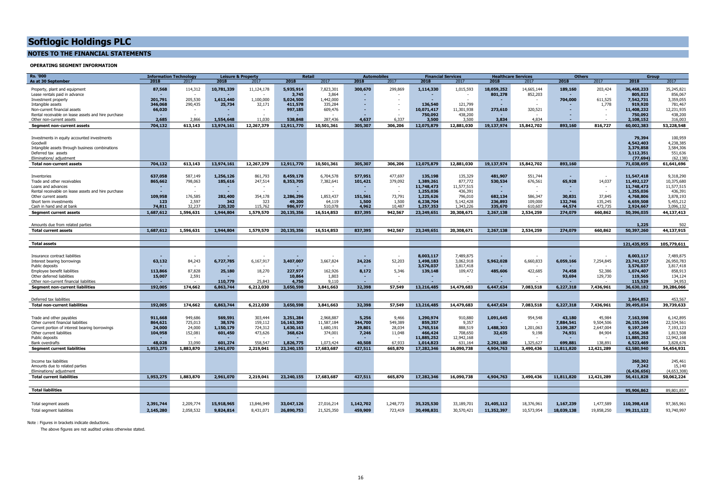#### **NOTES TO THE FINANCIAL STATEMENTS**

#### **OPERATING SEGMENT INFORMATION**

| <b>Rs. '000</b>                                                |           | <b>Information Technology</b> |                      | <b>Leisure &amp; Property</b> |                        | Retail                 |           | <b>Automobiles</b> | <b>Financial Services</b> |                    |                       | <b>Healthcare Services</b> |            | <b>Others</b> |                          | Group                   |
|----------------------------------------------------------------|-----------|-------------------------------|----------------------|-------------------------------|------------------------|------------------------|-----------|--------------------|---------------------------|--------------------|-----------------------|----------------------------|------------|---------------|--------------------------|-------------------------|
| As at 30 September                                             | 2018      | 2017                          | 2018                 | 2017                          | 2018                   | 2017                   | 2018      | 2017               | 2018                      | 2017               | 2018                  | 2017                       | 2018       | 2017          | 2018                     | 2017                    |
| Property, plant and equipment<br>Lease rentals paid in advance | 87,568    | 114,312                       | 10,781,339           | 11,124,178                    | 5,935,914<br>3,745     | 7,823,301<br>3,864     | 300,670   | 299,869            | 1,114,330                 | 1,015,593          | 18,059,252<br>801,278 | 14,665,144<br>852,203      | 189,160    | 203,424       | 36,468,233<br>805,023    | 35,245,821<br>856,067   |
| Investment property                                            | 201,791   | 205,530                       | 1,612,440            | 1,100,000                     | 5,024,500              | 1,442,000              |           |                    |                           |                    |                       |                            | 704,000    | 611,525       | 7,542,731                | 3,359,055               |
| Intangible assets                                              | 346,068   | 290,435                       | 25,734               | 32,171                        | 411,578                | 335,284                | ۰         |                    | 136,540                   | 121,799            |                       |                            |            | 1,778         | 919,920                  | 781,467                 |
| Non-current financial assets                                   | 66,020    |                               |                      |                               | 997,185                | 609,476                | ٠         | $\sim$             | 10,071,417                | 11,301,938         | 273,610               | 320,521                    |            |               | 11,408,232               | 12,231,935              |
| Rental receivable on lease assets and hire purchase            |           |                               |                      |                               |                        |                        |           |                    | 750,092                   | 438,200            |                       |                            | ٠          |               | 750,092                  | 438,200                 |
| Other non-current assets                                       | 2.685     | 2.866                         | 1,554,648            | 11.030                        | 538,848                | 287.436                | 4.637     | 6.337              | 3,500                     | 3.500              | 3,834                 | 4.834                      |            |               | 2,108,152                | 316,003                 |
| Segment non-current assets                                     | 704,132   | 613.143                       | 13,974,161           | 12,267,379                    | 12.911.770             | 10,501,361             | 305,307   | 306,206            | 12,075,879                | 12.881.030         | 19,137,974            | 15,842,702                 | 893,160    | 816,727       | 60,002,383               | 53,228,548              |
|                                                                |           |                               |                      |                               |                        |                        |           |                    |                           |                    |                       |                            |            |               |                          |                         |
|                                                                |           |                               |                      |                               |                        |                        |           |                    |                           |                    |                       |                            |            |               | 79,394                   | 100,959                 |
| Investments in equity accounted investments<br>Goodwill        |           |                               |                      |                               |                        |                        |           |                    |                           |                    |                       |                            |            |               | 4,542,403                | 4,238,385               |
| Intangible assets through business combinations                |           |                               |                      |                               |                        |                        |           |                    |                           |                    |                       |                            |            |               | 3,379,858                | 3,584,306               |
| Deferred tax assets                                            |           |                               |                      |                               |                        |                        |           |                    |                           |                    |                       |                            |            |               | 3,112,351                | 551,636                 |
| Eliminations/ adjustment                                       |           |                               |                      |                               |                        |                        |           |                    |                           |                    |                       |                            |            |               | (77, 694)                | (62, 138)               |
| <b>Total non-current assets</b>                                | 704,132   | 613,143                       | 13,974,161           | 12,267,379                    | 12,911,770             | 10,501,361             | 305,307   | 306,206            | 12,075,879                | 12,881,030         | 19,137,974            | 15,842,702                 | 893,160    |               | 71,038,695               | 61,641,696              |
|                                                                |           |                               |                      |                               |                        |                        |           |                    |                           |                    |                       |                            |            |               |                          |                         |
|                                                                | 637,058   | 587,149                       |                      |                               |                        |                        | 577,951   |                    |                           |                    |                       |                            | $\sim$     |               |                          |                         |
| Inventories<br>Trade and other receivables                     | 865,662   | 798,063                       | 1,256,126<br>185,616 | 861,793<br>247,514            | 8,459,178<br>8,353,705 | 6,704,578<br>7,382,641 | 101,421   | 477,697<br>379,092 | 135,198<br>1,389,261      | 135,329<br>877.772 | 481,907<br>530,534    | 551,744<br>676,561         | 65,928     | 14,037        | 11,547,418<br>11,492,127 | 9,318,290<br>10,375,680 |
| Loans and advances                                             |           |                               |                      |                               |                        |                        |           |                    | 11,748,473                | 11,577,515         |                       |                            |            |               | 11,748,473               | 11,577,515              |
| Rental receivable on lease assets and hire purchase            |           |                               |                      |                               |                        |                        |           |                    | 1,255,036                 | 436,391            |                       |                            |            |               | 1,255,036                | 436,391                 |
| Other current assets                                           | 109,958   | 176,585                       | 282,400              | 354,178                       | 2,286,296              | 1,853,437              | 151,561   | 73,791             | 1,225,626                 | 796,010            | 682,134               | 586,347                    | 30,831     | 37,845        | 4,768,806                | 3,878,193               |
| Short term investments                                         | 123       | 2.597                         | 342                  | 323                           | 49,200                 | 64,119                 | 1,500     | 1,500              | 6,238,704                 | 5,142,428          | 236,893               | 109,000                    | 132,746    | 135,245       | 6,659,508                | 5,455,212               |
| Cash in hand and at bank                                       | 74,811    | 32.237                        | 220,320              | 115.762                       | 986,977                | 510.078                | 4,962     | 10,487             | 1,257,353                 | 1.343.226          | 335,670               | 610.607                    | 44,574     | 473.735       | 2,924,667                | 3,096,132               |
| <b>Segment current assets</b>                                  | 1,687,612 | 1,596,631                     | 1,944,804            | 1,579,570                     | 20,135,356             | 16,514,853             | 837,395   | 942,567            | 23,249,651                | 20,308,671         | 2,267,138             | 2,534,259                  | 274,079    | 660,862       | 50,396,035               | 44,137,413              |
|                                                                |           |                               |                      |                               |                        |                        |           |                    |                           |                    |                       |                            |            |               |                          |                         |
| Amounts due from related parties                               |           |                               |                      |                               |                        |                        |           |                    |                           |                    |                       |                            |            |               | 1,225                    | 502                     |
| <b>Total current assets</b>                                    | 1,687,612 | 1,596,631                     | 1,944,804            | 1,579,570                     | 20,135,356             | 16,514,853             | 837,395   | 942,567            | 23,249,651                | 20,308,671         | 2,267,138             | 2,534,259                  | 274,079    | 660,862       | 50,397,260               | 44,137,915              |
|                                                                |           |                               |                      |                               |                        |                        |           |                    |                           |                    |                       |                            |            |               |                          |                         |
|                                                                |           |                               |                      |                               |                        |                        |           |                    |                           |                    |                       |                            |            |               |                          |                         |
| <b>Total assets</b>                                            |           |                               |                      |                               |                        |                        |           |                    |                           |                    |                       |                            |            |               | 121,435,955              | 105,779,611             |
|                                                                |           |                               |                      |                               |                        |                        |           |                    |                           |                    |                       |                            |            |               |                          |                         |
| Insurance contract liabilities                                 |           |                               |                      |                               |                        |                        |           |                    | 8.003.117                 | 7,489,875          |                       |                            |            |               | 8,003,117                | 7,489,875               |
| Interest bearing borrowings                                    | 63,132    | 84,243                        | 6,727,785            | 6,167,917                     | 3,407,007              | 3,667,824              | 24,226    | 52,203             | 1,498,183                 | 3,062,918          | 5,962,028             | 6,660,833                  | 6,059,166  | 7,254,845     | 23,741,527               | 26,950,783              |
| Public deposits                                                |           |                               |                      |                               |                        |                        |           |                    | 3,576,037                 | 3,817,418          |                       |                            |            |               | 3,576,037                | 3,817,418               |
| Employee benefit liabilities                                   | 113,866   | 87,828                        | 25,180               | 18,270                        | 227,977                | 162,926                | 8,172     | 5,346              | 139,148                   | 109,472            | 485,606               | 422,685                    | 74,458     | 52,386        | 1,074,407                | 858,913                 |
| Other deferred liabilities                                     | 15,007    | 2,591                         |                      |                               | 10,864                 | 1,803                  |           |                    |                           |                    |                       |                            | 93,694     | 129,730       | 119,565                  | 134,124                 |
| Other non-current financial liabilities                        |           |                               | 110,779              | 25,843                        | 4,750                  | 9,110                  |           |                    |                           |                    |                       |                            |            |               | 115,529                  | 34.953                  |
| <b>Segment non-current liabilities</b>                         | 192,005   | 174,662                       | 6,863,744            | 6,212,030                     | 3,650,598              | 3,841,663              | 32,398    | 57,549             | 13,216,485                | 14,479,683         | 6,447,634             | 7,083,518                  | 6,227,318  | 7,436,961     | 36,630,182               | 39,286,066              |
|                                                                |           |                               |                      |                               |                        |                        |           |                    |                           |                    |                       |                            |            |               |                          |                         |
| Deferred tax liabilities                                       |           |                               |                      |                               |                        |                        |           |                    |                           |                    |                       |                            |            |               | 2,864,852                | 453.567                 |
| <b>Total non-current liabilities</b>                           | 192,005   | 174,662                       | 6,863,744            | 6,212,030                     | 3,650,598              | 3,841,663              | 32,398    | 57,549             | 13,216,485                | 14,479,683         | 6,447,634             | 7,083,518                  | 6,227,318  | 7,436,961     | 39,495,034               | 39,739,633              |
|                                                                |           |                               |                      |                               |                        |                        |           |                    |                           |                    |                       |                            |            |               |                          |                         |
| Trade and other payables                                       | 911.668   | 949,686                       | 569,591              | 303,444                       | 3,251,284              | 2,968,887              | 5,256     | 9,466              | 1,290,974                 | 910,880            | 1,091,645             | 954,548                    | 43,180     | 45,984        | 7,163,598                | 6,142,895               |
| Other current financial liabilities                            | 864,621   | 725,013                       | 38,576               | 159,112                       | 16,163,309             | 11,587,184             | 344,700   | 549,389            | 859,357                   | 9,357              |                       |                            | 7,884,541  | 9,504,506     | 26,155,104               | 22,534,56               |
| Current portion of interest bearing borrowings                 | 24,000    | 24,000                        | 1,150,179            | 724,312                       | 1,630,163              | 1,680,191              | 29,801    | 28,034             | 1,765,516                 | 888,519            | 1,488,303             | 1,201,063                  | 3,109,287  | 2,647,004     | 9,197,249                | 7,193,123               |
| Other current liabilities                                      | 104,958   | 152,081                       | 601,450              | 473,626                       | 368,624                | 374,001                | 7,246     | 11,048             | 466,424                   | 708,650            | 32,635                | 9,198                      | 74,931     | 84,904        | 1,656,268                | 1,813,508               |
| Public deposits                                                |           | 33,090                        |                      | 558,547                       |                        | 1.073.424              |           | 67.933             | 11,885,252                | 12,942,168         |                       | 1 325 627                  |            | 138.891       | 11,885,252               | 12,942,168              |
| <b>Bank overdrafts</b>                                         | 48.028    |                               | 601,274              |                               | 1.826,775              |                        | 40,508    |                    | 1.014.823                 | 631.164            | 2,292,180             |                            | 699,881    |               | 6,523,469                | 3,828,676               |
| <b>Segment current liabilities</b>                             | 1,953,275 | 1,883,870                     | 2,961,070            | 2,219,041                     | 23,240,155             | 17,683,687             | 427,511   | 665,870            | 17,282,346                | 16,090,738         | 4,904,763             | 3,490,436                  | 11,811,820 | 12,421,289    | 62,580,940               | 54,454,931              |
|                                                                |           |                               |                      |                               |                        |                        |           |                    |                           |                    |                       |                            |            |               |                          |                         |
| Income tax liabilities                                         |           |                               |                      |                               |                        |                        |           |                    |                           |                    |                       |                            |            |               | 260,302                  | 245,461                 |
| Amounts due to related parties                                 |           |                               |                      |                               |                        |                        |           |                    |                           |                    |                       |                            |            |               | 7,242                    | 15,140                  |
| Eliminations/ adjustment                                       |           |                               |                      |                               |                        |                        |           |                    |                           |                    |                       |                            |            |               | (6, 436, 656)            | (4,653,308)             |
| <b>Total current liabilities</b>                               | 1,953,275 | 1,883,870                     | 2,961,070            | 2,219,041                     | 23,240,155             | 17,683,687             | 427,511   | 665,870            | 17,282,346                | 16,090,738         | 4,904,763             | 3,490,436                  | 11,811,820 | 12,421,289    | 56,411,828               | 50,062,224              |
|                                                                |           |                               |                      |                               |                        |                        |           |                    |                           |                    |                       |                            |            |               |                          |                         |
| <b>Total liabilities</b>                                       |           |                               |                      |                               |                        |                        |           |                    |                           |                    |                       |                            |            |               | 95,906,862               | 89,801,857              |
|                                                                |           |                               |                      |                               |                        |                        |           |                    |                           |                    |                       |                            |            |               |                          |                         |
| Total segment assets                                           | 2,391,744 | 2,209,774                     | 15,918,965           | 13,846,949                    | 33,047,126             | 27,016,214             | 1,142,702 | 1,248,773          | 35,325,530                | 33,189,701         | 21,405,112            | 18,376,961                 | 1,167,239  | 1,477,589     | 110,398,418              | 97,365,961              |
|                                                                |           |                               |                      |                               |                        |                        |           |                    |                           |                    |                       |                            |            |               |                          |                         |
| <b>Total segment liabilities</b>                               | 2,145,280 | 2,058,532                     | 9.824.814            | 8,431,071                     | 26,890,753             | 21,525,350             | 459,909   | 723,419            | 30,498,831                | 30,570,421         | 11,352,397            | 10,573,954                 | 18.039.138 | 19,858,250    | 99,211,122               | 93,740,997              |

Note : Figures in brackets indicate deductions.

The above figures are not audited unless otherwise stated.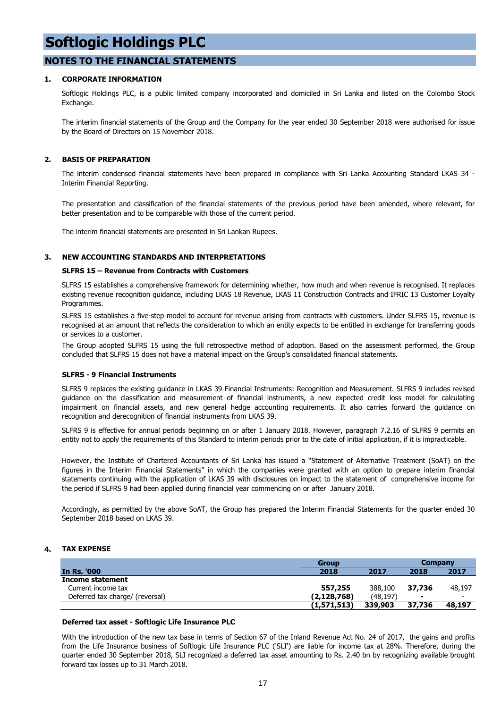### **NOTES TO THE FINANCIAL STATEMENTS**

#### **1. CORPORATE INFORMATION**

Softlogic Holdings PLC, is a public limited company incorporated and domiciled in Sri Lanka and listed on the Colombo Stock Exchange.

The interim financial statements of the Group and the Company for the year ended 30 September 2018 were authorised for issue by the Board of Directors on 15 November 2018.

#### **2. BASIS OF PREPARATION**

The interim condensed financial statements have been prepared in compliance with Sri Lanka Accounting Standard LKAS 34 - Interim Financial Reporting.

The presentation and classification of the financial statements of the previous period have been amended, where relevant, for better presentation and to be comparable with those of the current period.

The interim financial statements are presented in Sri Lankan Rupees.

#### **3. NEW ACCOUNTING STANDARDS AND INTERPRETATIONS**

#### **SLFRS 15 – Revenue from Contracts with Customers**

SLFRS 15 establishes a comprehensive framework for determining whether, how much and when revenue is recognised. It replaces existing revenue recognition guidance, including LKAS 18 Revenue, LKAS 11 Construction Contracts and IFRIC 13 Customer Loyalty Programmes.

SLFRS 15 establishes a five-step model to account for revenue arising from contracts with customers. Under SLFRS 15, revenue is recognised at an amount that reflects the consideration to which an entity expects to be entitled in exchange for transferring goods or services to a customer.

The Group adopted SLFRS 15 using the full retrospective method of adoption. Based on the assessment performed, the Group concluded that SLFRS 15 does not have a material impact on the Group's consolidated financial statements.

#### **SLFRS - 9 Financial Instruments**

SLFRS 9 replaces the existing guidance in LKAS 39 Financial Instruments: Recognition and Measurement. SLFRS 9 includes revised guidance on the classification and measurement of financial instruments, a new expected credit loss model for calculating impairment on financial assets, and new general hedge accounting requirements. It also carries forward the guidance on recognition and derecognition of financial instruments from LKAS 39.

SLFRS 9 is effective for annual periods beginning on or after 1 January 2018. However, paragraph 7.2.16 of SLFRS 9 permits an entity not to apply the requirements of this Standard to interim periods prior to the date of initial application, if it is impracticable.

However, the Institute of Chartered Accountants of Sri Lanka has issued a "Statement of Alternative Treatment (SoAT) on the figures in the Interim Financial Statements" in which the companies were granted with an option to prepare interim financial statements continuing with the application of LKAS 39 with disclosures on impact to the statement of comprehensive income for the period if SLFRS 9 had been applied during financial year commencing on or after January 2018.

Accordingly, as permitted by the above SoAT, the Group has prepared the Interim Financial Statements for the quarter ended 30 September 2018 based on LKAS 39.

#### **4. TAX EXPENSE**

|                                 | <b>Group</b> |           |        |        |
|---------------------------------|--------------|-----------|--------|--------|
| <b>In Rs. '000</b>              | 2018         | 2017      | 2018   | 2017   |
| Income statement                |              |           |        |        |
| Current income tax              | 557,255      | 388,100   | 37,736 | 48,197 |
| Deferred tax charge/ (reversal) | (2.128.768)  | (48, 197) |        | -      |
|                                 | (1,571,513)  | 339,903   | 37,736 | 48,197 |

#### **Deferred tax asset - Softlogic Life Insurance PLC**

With the introduction of the new tax base in terms of Section 67 of the Inland Revenue Act No. 24 of 2017, the gains and profits from the Life Insurance business of Softlogic Life Insurance PLC ('SLI') are liable for income tax at 28%. Therefore, during the quarter ended 30 September 2018, SLI recognized a deferred tax asset amounting to Rs. 2.40 bn by recognizing available brought forward tax losses up to 31 March 2018.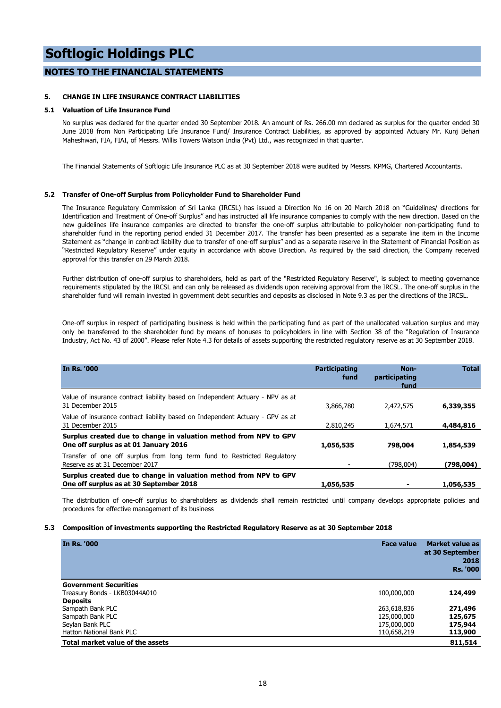#### **NOTES TO THE FINANCIAL STATEMENTS**

#### **5. CHANGE IN LIFE INSURANCE CONTRACT LIABILITIES**

#### **5.1 Valuation of Life Insurance Fund**

No surplus was declared for the quarter ended 30 September 2018. An amount of Rs. 266.00 mn declared as surplus for the quarter ended 30 June 2018 from Non Participating Life Insurance Fund/ Insurance Contract Liabilities, as approved by appointed Actuary Mr. Kunj Behari Maheshwari, FIA, FIAI, of Messrs. Willis Towers Watson India (Pvt) Ltd., was recognized in that quarter.

The Financial Statements of Softlogic Life Insurance PLC as at 30 September 2018 were audited by Messrs. KPMG, Chartered Accountants.

#### **5.2 Transfer of One-off Surplus from Policyholder Fund to Shareholder Fund**

The Insurance Regulatory Commission of Sri Lanka (IRCSL) has issued a Direction No 16 on 20 March 2018 on "Guidelines/ directions for Identification and Treatment of One-off Surplus" and has instructed all life insurance companies to comply with the new direction. Based on the new guidelines life insurance companies are directed to transfer the one-off surplus attributable to policyholder non-participating fund to shareholder fund in the reporting period ended 31 December 2017. The transfer has been presented as a separate line item in the Income Statement as "change in contract liability due to transfer of one-off surplus" and as a separate reserve in the Statement of Financial Position as "Restricted Regulatory Reserve" under equity in accordance with above Direction. As required by the said direction, the Company received approval for this transfer on 29 March 2018.

Further distribution of one-off surplus to shareholders, held as part of the "Restricted Regulatory Reserve", is subject to meeting governance requirements stipulated by the IRCSL and can only be released as dividends upon receiving approval from the IRCSL. The one-off surplus in the shareholder fund will remain invested in government debt securities and deposits as disclosed in Note 9.3 as per the directions of the IRCSL.

One-off surplus in respect of participating business is held within the participating fund as part of the unallocated valuation surplus and may only be transferred to the shareholder fund by means of bonuses to policyholders in line with Section 38 of the "Regulation of Insurance Industry, Act No. 43 of 2000". Please refer Note 4.3 for details of assets supporting the restricted regulatory reserve as at 30 September 2018.

| <b>In Rs. '000</b>                                                                                           | <b>Participating</b><br>fund | Non-<br>participating<br>fund | <b>Total</b> |
|--------------------------------------------------------------------------------------------------------------|------------------------------|-------------------------------|--------------|
| Value of insurance contract liability based on Independent Actuary - NPV as at<br>31 December 2015           | 3,866,780                    | 2,472,575                     | 6,339,355    |
| Value of insurance contract liability based on Independent Actuary - GPV as at<br>31 December 2015           | 2,810,245                    | 1,674,571                     | 4,484,816    |
| Surplus created due to change in valuation method from NPV to GPV<br>One off surplus as at 01 January 2016   | 1,056,535                    | 798,004                       | 1,854,539    |
| Transfer of one off surplus from long term fund to Restricted Regulatory<br>Reserve as at 31 December 2017   |                              | (798,004)                     | (798,004)    |
| Surplus created due to change in valuation method from NPV to GPV<br>One off surplus as at 30 September 2018 | 1,056,535                    |                               | 1,056,535    |

The distribution of one-off surplus to shareholders as dividends shall remain restricted until company develops appropriate policies and procedures for effective management of its business

#### **5.3 Composition of investments supporting the Restricted Regulatory Reserve as at 30 September 2018**

| In Rs. '000                      | <b>Face value</b> | <b>Market value as</b><br>at 30 September<br>2018<br><b>Rs. '000</b> |
|----------------------------------|-------------------|----------------------------------------------------------------------|
| <b>Government Securities</b>     |                   |                                                                      |
| Treasury Bonds - LKB03044A010    | 100,000,000       | 124,499                                                              |
| <b>Deposits</b>                  |                   |                                                                      |
| Sampath Bank PLC                 | 263,618,836       | 271,496                                                              |
| Sampath Bank PLC                 | 125,000,000       | 125,675                                                              |
| Seylan Bank PLC                  | 175,000,000       | 175,944                                                              |
| <b>Hatton National Bank PLC</b>  | 110,658,219       | 113,900                                                              |
| Total market value of the assets |                   | 811,514                                                              |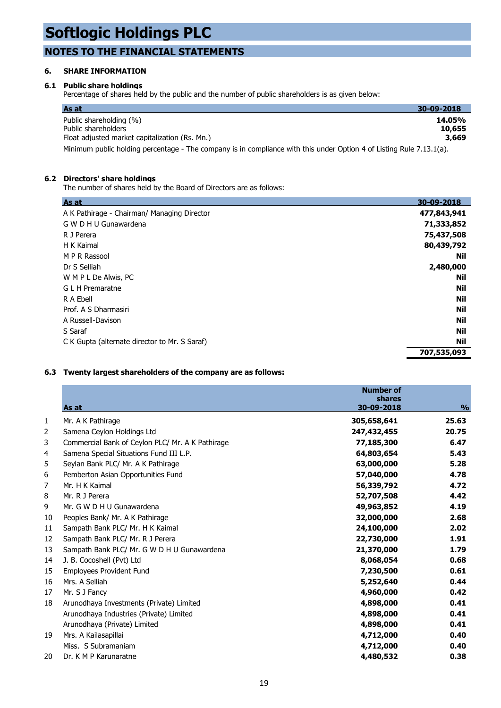### **NOTES TO THE FINANCIAL STATEMENTS**

#### **6. SHARE INFORMATION**

#### **6.1 Public share holdings**

Percentage of shares held by the public and the number of public shareholders is as given below:

| As at                                                                                                                | 30-09-2018 |
|----------------------------------------------------------------------------------------------------------------------|------------|
| Public shareholding (%)                                                                                              | 14.05%     |
| Public shareholders                                                                                                  | 10,655     |
| Float adjusted market capitalization (Rs. Mn.)                                                                       | 3,669      |
| Minimum public holding percentage - The company is in compliance with this under Option 4 of Listing Rule 7.13.1(a). |            |

#### **6.2 Directors' share holdings**

The number of shares held by the Board of Directors are as follows:

| As at                                         | 30-09-2018  |
|-----------------------------------------------|-------------|
| A K Pathirage - Chairman/ Managing Director   | 477,843,941 |
| G W D H U Gunawardena                         | 71,333,852  |
| R J Perera                                    | 75,437,508  |
| H K Kaimal                                    | 80,439,792  |
| M P R Rassool                                 | Nil         |
| Dr S Selliah                                  | 2,480,000   |
| W M P L De Alwis, PC                          | <b>Nil</b>  |
| G L H Premaratne                              | <b>Nil</b>  |
| R A Ebell                                     | <b>Nil</b>  |
| Prof. A S Dharmasiri                          | <b>Nil</b>  |
| A Russell-Davison                             | <b>Nil</b>  |
| S Saraf                                       | <b>Nil</b>  |
| C K Gupta (alternate director to Mr. S Saraf) | <b>Nil</b>  |
|                                               | 707,535,093 |

#### **6.3 Twenty largest shareholders of the company are as follows:**

|                                             | <b>Number of</b>                                                                                                                                                                              |                                                                                              |
|---------------------------------------------|-----------------------------------------------------------------------------------------------------------------------------------------------------------------------------------------------|----------------------------------------------------------------------------------------------|
|                                             |                                                                                                                                                                                               | $\frac{9}{0}$                                                                                |
|                                             |                                                                                                                                                                                               | 25.63                                                                                        |
|                                             |                                                                                                                                                                                               |                                                                                              |
|                                             |                                                                                                                                                                                               | 20.75                                                                                        |
|                                             |                                                                                                                                                                                               | 6.47                                                                                         |
|                                             |                                                                                                                                                                                               | 5.43                                                                                         |
|                                             |                                                                                                                                                                                               | 5.28                                                                                         |
| Pemberton Asian Opportunities Fund          | 57,040,000                                                                                                                                                                                    | 4.78                                                                                         |
| Mr. H K Kaimal                              | 56,339,792                                                                                                                                                                                    | 4.72                                                                                         |
| Mr. R J Perera                              | 52,707,508                                                                                                                                                                                    | 4.42                                                                                         |
| Mr. G W D H U Gunawardena                   | 49,963,852                                                                                                                                                                                    | 4.19                                                                                         |
| Peoples Bank/ Mr. A K Pathirage             | 32,000,000                                                                                                                                                                                    | 2.68                                                                                         |
| Sampath Bank PLC/ Mr. H K Kaimal            | 24,100,000                                                                                                                                                                                    | 2.02                                                                                         |
| Sampath Bank PLC/ Mr. R J Perera            | 22,730,000                                                                                                                                                                                    | 1.91                                                                                         |
| Sampath Bank PLC/ Mr. G W D H U Gunawardena | 21,370,000                                                                                                                                                                                    | 1.79                                                                                         |
| J. B. Cocoshell (Pvt) Ltd                   | 8,068,054                                                                                                                                                                                     | 0.68                                                                                         |
| <b>Employees Provident Fund</b>             | 7,230,500                                                                                                                                                                                     | 0.61                                                                                         |
| Mrs. A Selliah                              | 5,252,640                                                                                                                                                                                     | 0.44                                                                                         |
| Mr. S J Fancy                               | 4,960,000                                                                                                                                                                                     | 0.42                                                                                         |
| Arunodhaya Investments (Private) Limited    | 4,898,000                                                                                                                                                                                     | 0.41                                                                                         |
| Arunodhaya Industries (Private) Limited     | 4,898,000                                                                                                                                                                                     | 0.41                                                                                         |
| Arunodhaya (Private) Limited                | 4,898,000                                                                                                                                                                                     | 0.41                                                                                         |
| Mrs. A Kailasapillai                        | 4,712,000                                                                                                                                                                                     | 0.40                                                                                         |
| Miss. S Subramaniam                         | 4,712,000                                                                                                                                                                                     | 0.40                                                                                         |
| Dr. K M P Karunaratne                       | 4,480,532                                                                                                                                                                                     | 0.38                                                                                         |
|                                             | As at<br>Mr. A K Pathirage<br>Samena Ceylon Holdings Ltd<br>Commercial Bank of Ceylon PLC/ Mr. A K Pathirage<br>Samena Special Situations Fund III L.P.<br>Seylan Bank PLC/ Mr. A K Pathirage | shares<br>30-09-2018<br>305,658,641<br>247,432,455<br>77,185,300<br>64,803,654<br>63,000,000 |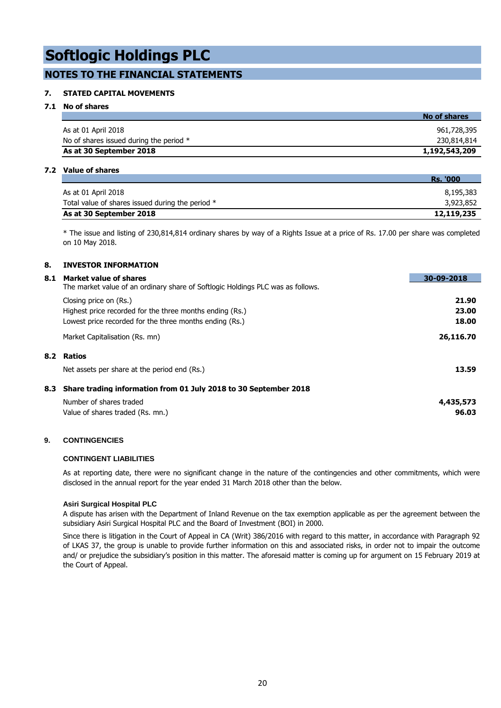### **NOTES TO THE FINANCIAL STATEMENTS**

#### **7. STATED CAPITAL MOVEMENTS**

#### **7.1 No of shares**

|                                           | No of shares  |
|-------------------------------------------|---------------|
| As at 01 April 2018                       | 961,728,395   |
| No of shares issued during the period $*$ | 230,814,814   |
| As at 30 September 2018                   | 1,192,543,209 |

#### **7.2 Value of shares**

|                                                  | <b>Rs. '000</b> |
|--------------------------------------------------|-----------------|
| As at 01 April 2018                              | 8,195,383       |
| Total value of shares issued during the period * | 3,923,852       |
| As at 30 September 2018                          | 12,119,235      |

\* The issue and listing of 230,814,814 ordinary shares by way of a Rights Issue at a price of Rs. 17.00 per share was completed on 10 May 2018.

#### **8. INVESTOR INFORMATION**

| 8.1 | Market value of shares                                                          | 30-09-2018 |
|-----|---------------------------------------------------------------------------------|------------|
|     | The market value of an ordinary share of Softlogic Holdings PLC was as follows. |            |
|     | Closing price on (Rs.)                                                          | 21.90      |
|     | Highest price recorded for the three months ending (Rs.)                        | 23.00      |
|     | Lowest price recorded for the three months ending (Rs.)                         | 18.00      |
|     | Market Capitalisation (Rs. mn)                                                  | 26,116.70  |
| 8.2 | Ratios                                                                          |            |
|     | Net assets per share at the period end (Rs.)                                    | 13.59      |
| 8.3 | Share trading information from 01 July 2018 to 30 September 2018                |            |
|     | Number of shares traded                                                         | 4,435,573  |
|     | Value of shares traded (Rs. mn.)                                                | 96.03      |

#### **9. CONTINGENCIES**

#### **CONTINGENT LIABILITIES**

As at reporting date, there were no significant change in the nature of the contingencies and other commitments, which were disclosed in the annual report for the year ended 31 March 2018 other than the below.

#### **Asiri Surgical Hospital PLC**

A dispute has arisen with the Department of Inland Revenue on the tax exemption applicable as per the agreement between the subsidiary Asiri Surgical Hospital PLC and the Board of Investment (BOI) in 2000.

Since there is litigation in the Court of Appeal in CA (Writ) 386/2016 with regard to this matter, in accordance with Paragraph 92 of LKAS 37, the group is unable to provide further information on this and associated risks, in order not to impair the outcome and/ or prejudice the subsidiary's position in this matter. The aforesaid matter is coming up for argument on 15 February 2019 at the Court of Appeal.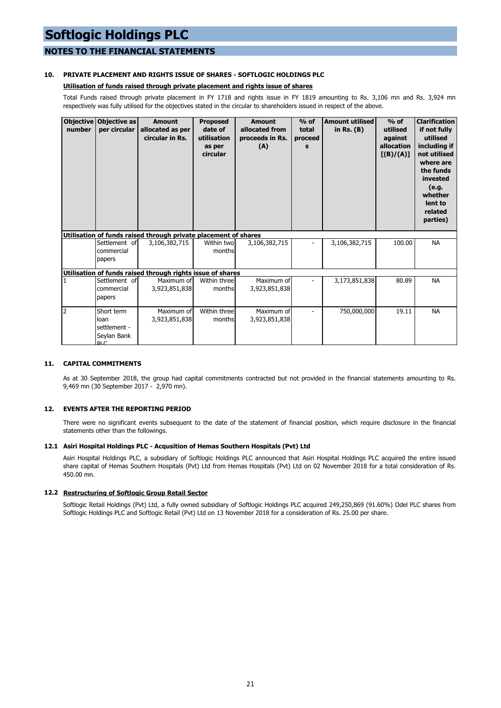### **NOTES TO THE FINANCIAL STATEMENTS**

#### **10. PRIVATE PLACEMENT AND RIGHTS ISSUE OF SHARES - SOFTLOGIC HOLDINGS PLC**

#### **Utilisation of funds raised through private placement and rights issue of shares**

Total Funds raised through private placement in FY 1718 and rights issue in FY 1819 amounting to Rs. 3,106 mn and Rs. 3,924 mn respectively was fully utilised for the objectives stated in the circular to shareholders issued in respect of the above.

| number         | Objective Objective as<br>per circular                    | <b>Amount</b><br>allocated as per<br>circular in Rs.            | <b>Proposed</b><br>date of<br>utilisation<br>as per<br>circular | <b>Amount</b><br>allocated from<br>proceeds in Rs.<br>(A) | $%$ of<br>total<br>proceed<br>s | <b>Amount utilised</b><br>in Rs. $(B)$ | $%$ of<br>utilised<br>against<br>allocation<br>[(B)/(A)] | <b>Clarification</b><br>if not fully<br>utilised<br>including if<br>not utilised<br>where are<br>the funds<br>invested<br>(e.g.<br>whether<br>lent to<br>related<br>parties) |
|----------------|-----------------------------------------------------------|-----------------------------------------------------------------|-----------------------------------------------------------------|-----------------------------------------------------------|---------------------------------|----------------------------------------|----------------------------------------------------------|------------------------------------------------------------------------------------------------------------------------------------------------------------------------------|
|                |                                                           | Utilisation of funds raised through private placement of shares |                                                                 |                                                           |                                 |                                        |                                                          |                                                                                                                                                                              |
|                | Settlement of<br>commercial<br>papers                     | 3,106,382,715                                                   | Within two<br>months                                            | 3,106,382,715                                             |                                 | 3,106,382,715                          | 100.00                                                   | <b>NA</b>                                                                                                                                                                    |
|                |                                                           | Utilisation of funds raised through rights issue of shares      |                                                                 |                                                           |                                 |                                        |                                                          |                                                                                                                                                                              |
|                | Settlement of<br>commercial<br>papers                     | Maximum of<br>3,923,851,838                                     | Within three<br>months                                          | Maximum of<br>3,923,851,838                               |                                 | 3,173,851,838                          | 80.89                                                    | <b>NA</b>                                                                                                                                                                    |
| $\overline{2}$ | Short term<br>loan<br>settlement -<br>Seylan Bank<br>DI C | Maximum of<br>3,923,851,838                                     | Within three<br>months                                          | Maximum of<br>3,923,851,838                               |                                 | 750,000,000                            | 19.11                                                    | <b>NA</b>                                                                                                                                                                    |

#### **11. CAPITAL COMMITMENTS**

As at 30 September 2018, the group had capital commitments contracted but not provided in the financial statements amounting to Rs. 9,469 mn (30 September 2017 - 2,970 mn).

#### **12. EVENTS AFTER THE REPORTING PERIOD**

There were no significant events subsequent to the date of the statement of financial position, which require disclosure in the financial statements other than the followings.

#### **12.1 Asiri Hospital Holdings PLC - Acqusition of Hemas Southern Hospitals (Pvt) Ltd**

Asiri Hospital Holdings PLC, a subsidiary of Softlogic Holdings PLC announced that Asiri Hospital Holdings PLC acquired the entire issued share capital of Hemas Southern Hospitals (Pvt) Ltd from Hemas Hospitals (Pvt) Ltd on 02 November 2018 for a total consideration of Rs. 450.00 mn.

#### **12.2 Restructuring of Softlogic Group Retail Sector**

Softlogic Retail Holdings (Pvt) Ltd, a fully owned subsidiary of Softlogic Holdings PLC acquired 249,250,869 (91.60%) Odel PLC shares from Softlogic Holdings PLC and Softlogic Retail (Pvt) Ltd on 13 November 2018 for a consideration of Rs. 25.00 per share.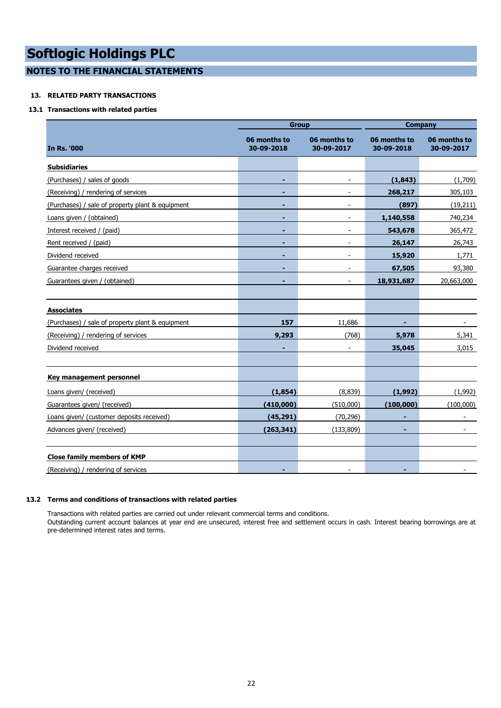**NOTES TO THE FINANCIAL STATEMENTS**

#### **13. RELATED PARTY TRANSACTIONS**

#### **13.1 Transactions with related parties**

|                                                  | <b>Group</b>               |                            | <b>Company</b>             |                            |
|--------------------------------------------------|----------------------------|----------------------------|----------------------------|----------------------------|
| <b>In Rs. '000</b>                               | 06 months to<br>30-09-2018 | 06 months to<br>30-09-2017 | 06 months to<br>30-09-2018 | 06 months to<br>30-09-2017 |
| <b>Subsidiaries</b>                              |                            |                            |                            |                            |
| (Purchases) / sales of goods                     |                            |                            | (1, 843)                   | (1,709)                    |
| (Receiving) / rendering of services              | ٠                          |                            | 268,217                    | 305,103                    |
| (Purchases) / sale of property plant & equipment | н.                         |                            | (897)                      | (19,211)                   |
| Loans given / (obtained)                         |                            |                            | 1,140,558                  | 740,234                    |
| Interest received / (paid)                       | $\blacksquare$             | $\overline{\phantom{a}}$   | 543,678                    | 365,472                    |
| Rent received / (paid)                           | ٠                          | $\blacksquare$             | 26,147                     | 26,743                     |
| Dividend received                                |                            |                            | 15,920                     | 1,771                      |
| Guarantee charges received                       | $\blacksquare$             | $\overline{\phantom{a}}$   | 67,505                     | 93,380                     |
| Guarantees given / (obtained)                    |                            |                            | 18,931,687                 | 20,663,000                 |
|                                                  |                            |                            |                            |                            |
| <b>Associates</b>                                |                            |                            |                            |                            |
| (Purchases) / sale of property plant & equipment | 157                        | 11,686                     |                            |                            |
| (Receiving) / rendering of services              | 9,293                      | (768)                      | 5,978                      | 5,341                      |
| Dividend received                                |                            | $\overline{\phantom{a}}$   | 35,045                     | 3,015                      |
|                                                  |                            |                            |                            |                            |
| Key management personnel                         |                            |                            |                            |                            |
| Loans given/ (received)                          | (1, 854)                   | (8,839)                    | (1,992)                    | (1,992)                    |
| Guarantees given/ (received)                     | (410,000)                  | (510,000)                  | (100,000)                  | (100,000)                  |
| Loans given/ (customer deposits received)        | (45, 291)                  | (70, 296)                  | $\blacksquare$             |                            |
| Advances given/ (received)                       | (263, 341)                 | (133, 809)                 | -                          |                            |
|                                                  |                            |                            |                            |                            |
| <b>Close family members of KMP</b>               |                            |                            |                            |                            |
| (Receiving) / rendering of services              |                            |                            |                            |                            |

#### **13.2 Terms and conditions of transactions with related parties**

Transactions with related parties are carried out under relevant commercial terms and conditions.

Outstanding current account balances at year end are unsecured, interest free and settlement occurs in cash. Interest bearing borrowings are at pre-determined interest rates and terms.